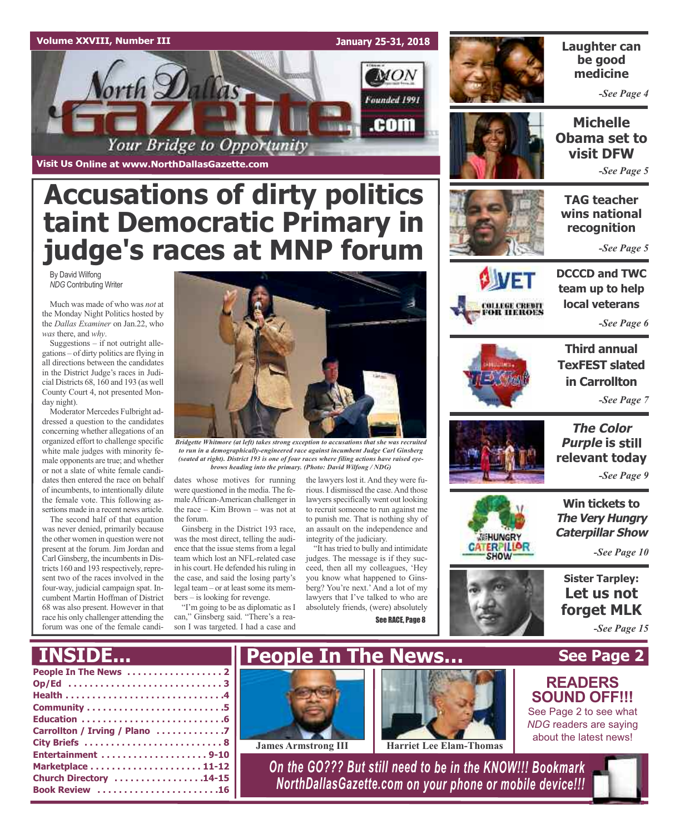### **Volume XXVIII, Number III January 25-31, 2018** MON  $\mathsf{orth}\mathcal{D}$ al Founded 1991 .com Your Bridge to Opportunity

**Visit Us Online at www.NorthDallasGazette.com**

# **Accusations of dirty politics taint Democratic Primary in judge's races at MNP forum**

By David Wilfong *NDG* Contributing Writer

Much was made of who was *not* at the Monday Night Politics hosted by the *Dallas Examiner* on Jan.22, who *was* there, and *why*.

Suggestions – if not outright allegations – of dirty politics are flying in all directions between the candidates in the District Judge's races in Judicial Districts 68, 160 and 193 (as well County Court 4, not presented Monday night).

Moderator Mercedes Fulbright addressed a question to the candidates concerning whether allegations of an organized effort to challenge specific white male judges with minority female opponents are true; and whether or not a slate of white female candidates then entered the race on behalf of incumbents, to intentionally dilute the female vote. This following assertions made in a recent news article.

The second half of that equation was never denied, primarily because the other women in question were not present at the forum. Jim Jordan and Carl Ginsberg, the incumbents in Districts 160 and 193 respectively, represent two of the races involved in the four-way, judicial campaign spat. Incumbent Martin Hoffman of District 68 was also present. However in that race his only challenger attending the forum was one of the female candi-



*Bridgette Whitmore (at left) takes strong exception to accusations that she was recruited to run in a demographically-engineered race against incumbent Judge Carl Ginsberg (seated at right). District 193 is one of four races where filing actions have raised eyebrows heading into the primary. (Photo: David Wilfong / NDG)*

dates whose motives for running were questioned in the media. The femaleAfrican-American challenger in the race – Kim Brown – was not at the forum.

Ginsberg in the District 193 race, was the most direct, telling the audience that the issue stems from a legal team which lost an NFL-related case in his court. He defended hisruling in the case, and said the losing party's legal team – or at least some its members – is looking for revenge.

"I'm going to be as diplomatic as I can," Ginsberg said. "There's a reason I was targeted. I had a case and

the lawyers lost it. And they were furious. I dismissed the case.And those lawyers specifically went out looking to recruit someone to run against me to punish me. That is nothing shy of an assault on the independence and integrity of the judiciary.

"It hastried to bully and intimidate judges. The message is if they succeed, then all my colleagues, 'Hey you know what happened to Ginsberg? You're next.' And a lot of my lawyers that I've talked to who are absolutely friends, (were) absolutely

See RACE, Page 8



**SIVET** 

OLLEGE CREDIT<br>OR HEROES

**Laughter can be good medicine**

*-See Page 4*

**Michelle Obama set to visit DFW** *-See Page 5*

**TAG teacher wins national recognition**

*-See Page 5*

**DCCCD and TWC team up to help local veterans**

*-See Page 6*



**Third annual TexFEST slated in Carrollton** *-See Page 7*



**WEHUNGRY GATERPILLOR SHOW** 

**The Color Purple is still relevant today**

*-See Page 9*

**Win tickets to The Very Hungry Caterpillar Show**

*-See Page 10*

**Sister Tarpley: Let us not forget MLK**

**See Page 2**

*-See Page 15*

**READERS SOUND OFF!!!** See Page 2 to see what *NDG* readers are saying about the latest news!

### **NSTD**

| Carrollton / Irving / Plano 7 |
|-------------------------------|
|                               |
|                               |
|                               |
| Church Directory 14-15        |
| Book Review 16                |
|                               |





**James Armstrong III Harriet Lee Elam-Thomas**

*On the GO??? But still need to be in the KNOW!!! Bookmark NorthDallasGazette.com on your phone or mobile device!!!*

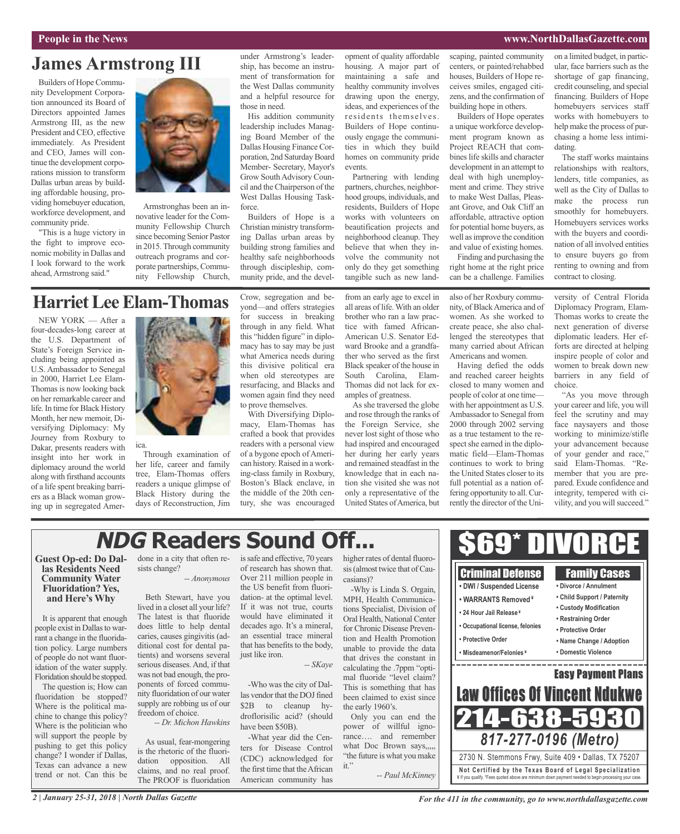#### **People in the News www.NorthDallasGazette.com**

### **James Armstrong III**

Builders of Hope Community Development Corporation announced its Board of Directors appointed James Armstrong III, as the new President and CEO, effective immediately. As President and CEO, James will continue the development corporations mission to transform Dallas urban areas by building affordable housing, providing homebuyer education, workforce development, and community pride.

"This is a huge victory in the fight to improve economic mobility in Dallas and I look forward to the work ahead, Armstrong said."

NEW YORK — After a four-decades-long career at the U.S. Department of State's Foreign Service including being appointed as U.S. Ambassador to Senegal in 2000, Harriet Lee Elam-Thomas is now looking back on her remarkable career and life. In time for Black History Month, her new memoir, Diversifying Diplomacy: My Journey from Roxbury to Dakar, presents readers with insight into her work in diplomacy around the world along with firsthand accounts of a life spent breaking barriers as a Black woman growing up in segregated Amer-



Armstronghas been an innovative leader for the Community Fellowship Church since becoming Senior Pastor in 2015.Through community outreach programs and corporate partnerships, Community Fellowship Church, under Armstrong's leadership, has become an instrument of transformation for the West Dallas community and a helpful resource for those in need.

His addition community leadership includes Managing Board Member of the Dallas Housing Finance Corporation, 2nd Saturday Board Member- Secretary, Mayor's Grow South Advisory Council and the Chairperson of the West Dallas Housing Taskforce.

Builders of Hope is a Christian ministry transforming Dallas urban areas by building strong families and healthy safe neighborhoods through discipleship, community pride, and the development of quality affordable housing. A major part of maintaining a safe and healthy community involves drawing upon the energy, ideas, and experiences of the residents themselves. Builders of Hope continuously engage the communities in which they build homes on community pride events.

Partnering with lending partners, churches, neighborhood groups, individuals, and residents, Builders of Hope works with volunteers on beautification projects and neighborhood cleanup. They believe that when they involve the community not only do they get something tangible such as new land-

from an early age to excel in all areas of life.With an older brother who ran a law practice with famed African-American U.S. Senator Edward Brooke and a grandfather who served as the first Black speaker of the house in South Carolina, Elam-Thomas did not lack for examples of greatness.

As she traversed the globe and rose through the ranks of the Foreign Service, she never lost sight of those who had inspired and encouraged her during her early years and remained steadfast in the knowledge that in each nation she visited she was not only a representative of the United States ofAmerica, but scaping, painted community centers, or painted/rehabbed houses, Builders of Hope receives smiles, engaged citizens, and the confirmation of building hope in others.

Builders of Hope operates a unique workforce development program known as Project REACH that combines life skills and character development in an attempt to deal with high unemployment and crime. They strive to make West Dallas, Pleasant Grove, and Oak Cliff an affordable, attractive option for potential home buyers, as well asimprove the condition and value of existing homes.

Finding and purchasing the right home at the right price can be a challenge. Families

also of her Roxbury community, of BlackAmerica and of women. As she worked to create peace, she also challenged the stereotypes that many carried about African Americans and women.

Having defied the odds and reached career heights closed to many women and people of color at one time with her appointment as U.S. Ambassador to Senegal from 2000 through 2002 serving as a true testament to the respect she earned in the diplomatic field—Elam-Thomas continues to work to bring the United States closer to its full potential as a nation offering opportunity to all. Currently the director of the Uni-

on a limited budget, in particular, face barriers such as the shortage of gap financing, credit counseling, and special financing. Builders of Hope homebuyers services staff works with homebuyers to help make the process of purchasing a home less intimidating.

The staff works maintains relationships with realtors, lenders, title companies, as well as the City of Dallas to make the process run smoothly for homebuyers. Homebuyers services works with the buyers and coordination of all involved entities to ensure buyers go from renting to owning and from contract to closing.

versity of Central Florida Diplomacy Program, Elam-Thomas works to create the next generation of diverse diplomatic leaders. Her efforts are directed at helping inspire people of color and women to break down new barriers in any field of choice.

"As you move through your career and life, you will feel the scrutiny and may face naysayers and those working to minimize/stifle your advancement because of your gender and race," said Elam-Thomas. "Remember that you are prepared. Exude confidence and integrity, tempered with civility, and you will succeed."

# **NDG Readers Sound Off...**

**Guest Op-ed: Do Dal- las Residents Need Community Water Fluoridation? Yes, and Here's Why**

It is apparent that enough people exist in Dallas to warrant a change in the fluoridation policy. Large numbers of people do not want fluoridation of the water supply. Floridation should be stopped.

The question is; How can fluoridation be stopped? Where is the political machine to change this policy? Where is the politician who will support the people by pushing to get this policy change? I wonder if Dallas, Texas can advance a new trend or not. Can this be

done in a city that often resists change? *-- Anonymous*

Through examination of her life, career and family tree, Elam-Thomas offers readers a unique glimpse of Black History during the days of Reconstruction, Jim

ica.

**HarrietLeeElam-Thomas**

Beth Stewart, have you lived in a closet all your life? The latest is that fluoride does little to help dental caries, causes gingivitis (additional cost for dental patients) and worsens several serious diseases. And, if that was not bad enough, the proponents of forced community fluoridation of our water supply are robbing us of our freedom of choice.

*-- Dr. Michon Hawkins*

As usual, fear-mongering is the rhetoric of the fluoridation opposition. All claims, and no real proof. The PROOF is fluoridation

issafe and effective, 70 years of research has shown that. Over 211 million people in the US benefit from fluoridation- at the optimal level. If it was not true, courts would have eliminated it decades ago. It's a mineral, an essential trace mineral that has benefits to the body, just like iron.

*-- SKaye*

-Who was the city of Dallas vendor that the DOJ fined \$2B to cleanup hydroflorisilic acid? (should have been \$50B).

-What year did the Centers for Disease Control (CDC) acknowledged for the first time that the African American community has

higher rates of dental fluorosis (almost twice that of Caucasians)?

-Why is Linda S. Orgain, MPH, Health Communications Specialist, Division of Oral Health, National Center for Chronic Disease Prevention and Health Promotion unable to provide the data that drives the constant in calculating the .7ppm "optimal fluoride "level claim? This is something that has been claimed to exist since the early 1960's.

Only you can end the power of willful ignorance…. and remember what Doc Brown says,,,,, "the future is what you make it."

*-- Paul McKinney*



Crow, segregation and beyond—and offers strategies for success in breaking through in any field. What this "hidden figure" in diplomacy has to say may be just what America needs during this divisive political era when old stereotypes are resurfacing, and Blacks and women again find they need to prove themselves.

With Diversifying Diplomacy, Elam-Thomas has crafted a book that provides readers with a personal view of a bygone epoch of American history. Raised in a working-class family in Roxbury, Boston's Black enclave, in the middle of the 20th century, she was encouraged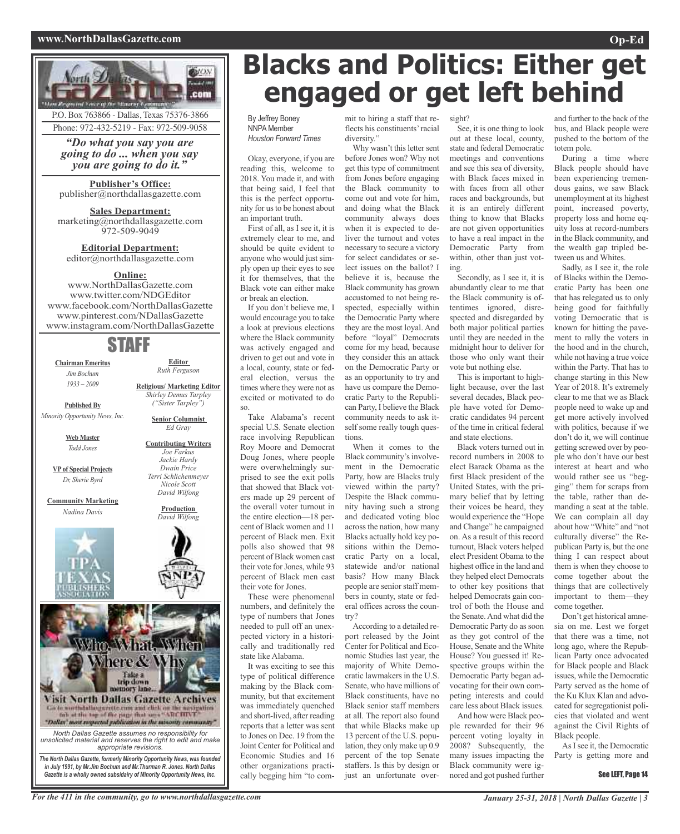#### **www.NorthDallasGazette.com Op-Ed**



# **Blacks and Politics: Either get engaged or get left behind**

By Jeffrey Boney **NNPA** Member *Houston Forward Times*

**OUON Constitution** .com

> Okay, everyone, if you are reading this, welcome to 2018. You made it, and with that being said, I feel that this is the perfect opportunity for us to be honest about an important truth.

First of all, as I see it, it is extremely clear to me, and should be quite evident to anyone who would just simply open up their eyes to see it for themselves, that the Black vote can either make or break an election.

If you don't believe me, I would encourage you to take a look at previous elections where the Black community was actively engaged and driven to get out and vote in a local, county, state or federal election, versus the times where they were not as excited or motivated to do so.

Take Alabama's recent special U.S. Senate election race involving Republican Roy Moore and Democrat Doug Jones, where people were overwhelmingly surprised to see the exit polls that showed that Black voters made up 29 percent of the overall voter turnout in the entire election—18 percent of Black women and 11 percent of Black men. Exit polls also showed that 98 percent of Black women cast their vote for Jones, while 93 percent of Black men cast their vote for Jones.

These were phenomenal numbers, and definitely the type of numbers that Jones needed to pull off an unexpected victory in a historically and traditionally red state like Alabama.

It was exciting to see this type of political difference making by the Black community, but that excitement was immediately quenched and short-lived, after reading reports that a letter was sent to Jones on Dec. 19 from the Joint Center for Political and Economic Studies and 16 other organizations practically begging him "to commit to hiring a staff that reflects his constituents'racial diversity."

Why wasn't this letter sent before Jones won? Why not get this type of commitment from Jones before engaging the Black community to come out and vote for him, and doing what the Black community always does when it is expected to deliver the turnout and votes necessary to secure a victory for select candidates or select issues on the ballot? I believe it is, because the Black community has grown accustomed to not being respected, especially within the Democratic Party where they are the most loyal. And before "loyal" Democrats come for my head, because they consider this an attack on the Democratic Party or as an opportunity to try and have us compare the Democratic Party to the Republican Party, I believe the Black community needs to ask itself some really tough questions.

When it comes to the Black community's involvement in the Democratic Party, how are Blacks truly viewed within the party? Despite the Black community having such a strong and dedicated voting bloc across the nation, how many Blacks actually hold key positions within the Democratic Party on a local, statewide and/or national basis? How many Black people are senior staff members in county, state or federal offices across the country?

According to a detailed report released by the Joint Center for Political and Economic Studies last year, the majority of White Democratic lawmakers in the U.S. Senate, who have millions of Black constituents, have no Black senior staff members at all. The report also found that while Blacks make up 13 percent of the U.S. population, they only make up 0.9 percent of the top Senate staffers. Is this by design or just an unfortunate over-

sight?

See, it is one thing to look out at these local, county, state and federal Democratic meetings and conventions and see this sea of diversity, with Black faces mixed in with faces from all other races and backgrounds, but it is an entirely different thing to know that Blacks are not given opportunities to have a real impact in the Democratic Party from within, other than just voting.

Secondly, as I see it, it is abundantly clear to me that the Black community is oftentimes ignored, disrespected and disregarded by both major political parties until they are needed in the midnight hour to deliver for those who only want their vote but nothing else.

This is important to highlight because, over the last several decades, Black people have voted for Democratic candidates 94 percent of the time in critical federal and state elections.

Black voters turned out in record numbers in 2008 to elect Barack Obama as the first Black president of the United States, with the primary belief that by letting their voices be heard, they would experience the "Hope and Change" he campaigned on. As a result of this record turnout, Black voters helped elect President Obama to the highest office in the land and they helped elect Democrats to other key positions that helped Democrats gain control of both the House and the Senate.And what did the Democratic Party do as soon as they got control of the House, Senate and the White House? You guessed it! Respective groups within the Democratic Party began advocating for their own competing interests and could care less about Black issues. And how were Black peo-

ple rewarded for their 96 percent voting loyalty in 2008? Subsequently, the many issues impacting the Black community were ignored and got pushed further

and further to the back of the bus, and Black people were pushed to the bottom of the totem pole.

During a time where Black people should have been experiencing tremendous gains, we saw Black unemployment at its highest point, increased poverty, property loss and home equity loss at record-numbers in the Black community, and the wealth gap tripled between us and Whites.

Sadly, as I see it, the role of Blacks within the Democratic Party has been one that has relegated us to only being good for faithfully voting Democratic that is known for hitting the pavement to rally the voters in the hood and in the church, while not having a true voice within the Party. That has to change starting in this New Year of 2018. It's extremely clear to me that we as Black people need to wake up and get more actively involved with politics, because if we don't do it, we will continue getting screwed over by people who don't have our best interest at heart and who would rather see us "begging" them for scraps from the table, rather than demanding a seat at the table. We can complain all day about how "White" and "not culturally diverse" the Republican Party is, but the one thing I can respect about them is when they choose to come together about the things that are collectively important to them—they come together.

Don't get historical amnesia on me. Lest we forget that there was a time, not long ago, where the Republican Party once advocated for Black people and Black issues, while the Democratic Party served as the home of the Ku Klux Klan and advocated forsegregationist policies that violated and went against the Civil Rights of Black people.

AsIsee it, the Democratic Party is getting more and

#### See LEFT. Page 14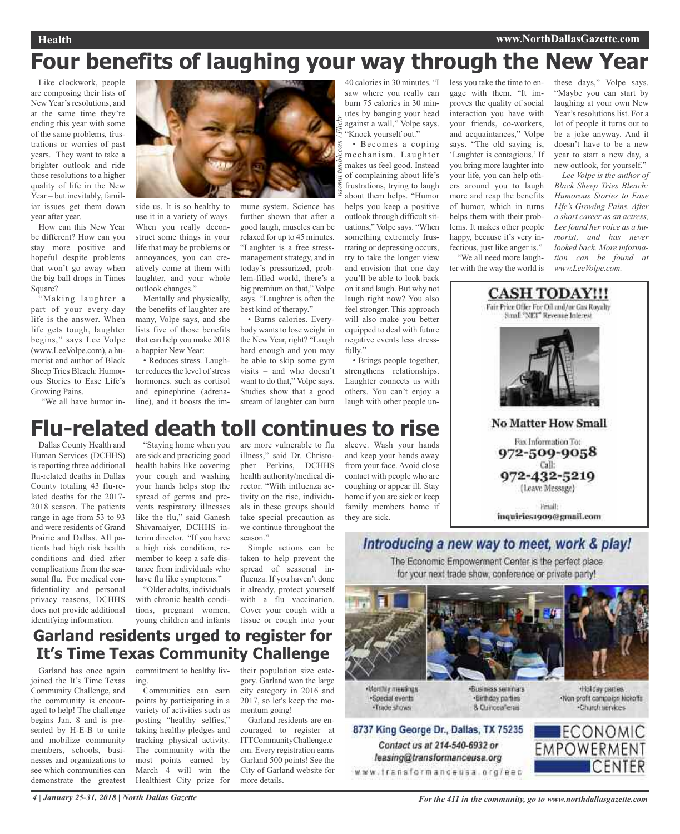### **Health www.NorthDallasGazette.com**

# **Four benefits of laughing your way through the New Year**

Like clockwork, people are composing their lists of New Year's resolutions, and at the same time they're ending this year with some of the same problems, frustrations or worries of past years. They want to take a brighter outlook and ride those resolutions to a higher quality of life in the New Year – but inevitably, familiar issues get them down year after year.

How can this New Year be different? How can you stay more positive and hopeful despite problems that won't go away when the big ball drops in Times Square?

"Making laughter a part of your every-day life is the answer. When life gets tough, laughter begins," says Lee Volpe (www.LeeVolpe.com), a humorist and author of Black Sheep Tries Bleach: Humorous Stories to Ease Life's Growing Pains.

"We all have humor in-

![](_page_3_Picture_7.jpeg)

side us. It is so healthy to use it in a variety of ways. When you really deconstruct some things in your life that may be problems or annoyances, you can creatively come at them with laughter, and your whole outlook changes."

Mentally and physically, the benefits of laughter are many, Volpe says, and she lists five of those benefits that can help you make 2018 a happier New Year:

• Reduces stress. Laughter reduces the level of stress hormones. such as cortisol and epinephrine (adrenaline), and it boosts the im-

mune system. Science has further shown that after a good laugh, muscles can be relaxed for up to 45 minutes. "Laughter is a free stressmanagement strategy, and in today's pressurized, problem-filled world, there's a big premium on that," Volpe says. "Laughter is often the best kind of therapy."

• Burns calories. Everybody wants to lose weight in the New Year, right? "Laugh hard enough and you may be able to skip some gym visits – and who doesn't want to do that," Volpe says. Studies show that a good stream of laughter can burn

*naomii.tumblr.com / Flickr* 40 calories in 30 minutes. "I saw where you really can burn 75 calories in 30 minutes by banging your head against a wall," Volpe says. "Knock yourself out."

• Becomes a coping mechanism. Laughter makes us feel good. Instead of complaining about life's frustrations, trying to laugh about them helps. "Humor helps you keep a positive outlook through difficult situations," Volpe says. "When something extremely frustrating or depressing occurs, try to take the longer view and envision that one day you'll be able to look back on it and laugh. But why not laugh right now? You also feel stronger. This approach will also make you better equipped to deal with future negative events less stressfully."

• Brings people together, strengthens relationships. Laughter connects us with others. You can't enjoy a laugh with other people unless you take the time to engage with them. "It improves the quality of social interaction you have with your friends, co-workers, and acquaintances," Volpe says. "The old saying is, 'Laughter is contagious.' If you bring more laughter into your life, you can help others around you to laugh more and reap the benefits of humor, which in turns helps them with their problems. It makes other people happy, because it's very infectious, just like anger is."

"We all need more laughter with the way the world is

these days," Volpe says. "Maybe you can start by laughing at your own New Year's resolutions list. For a lot of people it turns out to be a joke anyway. And it doesn't have to be a new year to start a new day, a new outlook, for yourself."

*Lee Volpe is the author of Black Sheep Tries Bleach: Humorous Stories to Ease Life's Growing Pains. After a short career as an actress, Lee found her voice as a humorist, and has never looked back. More information can be found at www.LeeVolpe.com.*

![](_page_3_Picture_20.jpeg)

Fmail: inquiries1909@gmail.com

# **Flu-related death toll continues to rise**

Dallas County Health and Human Services (DCHHS) is reporting three additional flu-related deaths in Dallas County totaling 43 flu-related deaths for the 2017- 2018 season. The patients range in age from 53 to 93 and were residents of Grand Prairie and Dallas. All patients had high risk health conditions and died after complications from the seasonal flu. For medical confidentiality and personal privacy reasons, DCHHS does not provide additional identifying information.

"Staying home when you are sick and practicing good health habits like covering your cough and washing your hands helps stop the spread of germs and prevents respiratory illnesses like the flu," said Ganesh Shivamaiyer, DCHHS interim director. "If you have a high risk condition, remember to keep a safe distance from individuals who have flu like symptoms."

"Older adults, individuals with chronic health conditions, pregnant women, young children and infants

are more vulnerable to flu sleeve. Wash your hands illness," said Dr. Christopher Perkins, DCHHS health authority/medical director. "With influenza activity on the rise, individuals in these groups should take special precaution as we continue throughout the season."

Simple actions can be taken to help prevent the spread of seasonal influenza. If you haven't done it already, protect yourself with a flu vaccination. Cover your cough with a tissue or cough into your

and keep your hands away from your face. Avoid close contact with people who are coughing or appear ill. Stay home if you are sick or keep family members home if they are sick.

### Introducing a new way to meet, work & play!

The Economic Empowerment Center is the perfect place. for your next trade show, conference or private party!

![](_page_3_Picture_30.jpeg)

Nonthly meetings ·Special events ·Trade shows

Contact us at 214-540-6932 or

leasing@transformanceusa.org

Business seminars ·Birthday parties 8 Currosaferas

Holday parties -Non-profit campaign kickoffs Church services

![](_page_3_Picture_34.jpeg)

**Garland residents urged to register for It's Time Texas Community Challenge**

Garland has once again joined the It's Time Texas Community Challenge, and the community is encouraged to help! The challenge begins Jan. 8 and is presented by H-E-B to unite and mobilize community members, schools, businesses and organizations to see which communities can demonstrate the greatest

commitment to healthy living.

Communities can earn points by participating in a variety of activities such as posting "healthy selfies," taking healthy pledges and tracking physical activity. The community with the most points earned by March 4 will win the Healthiest City prize for

their population size category. Garland won the large city category in 2016 and 2017, so let's keep the momentum going!

Garland residents are encouraged to register at ITTCommunityChallenge.c om. Every registration earns Garland 500 points! See the City of Garland website for more details.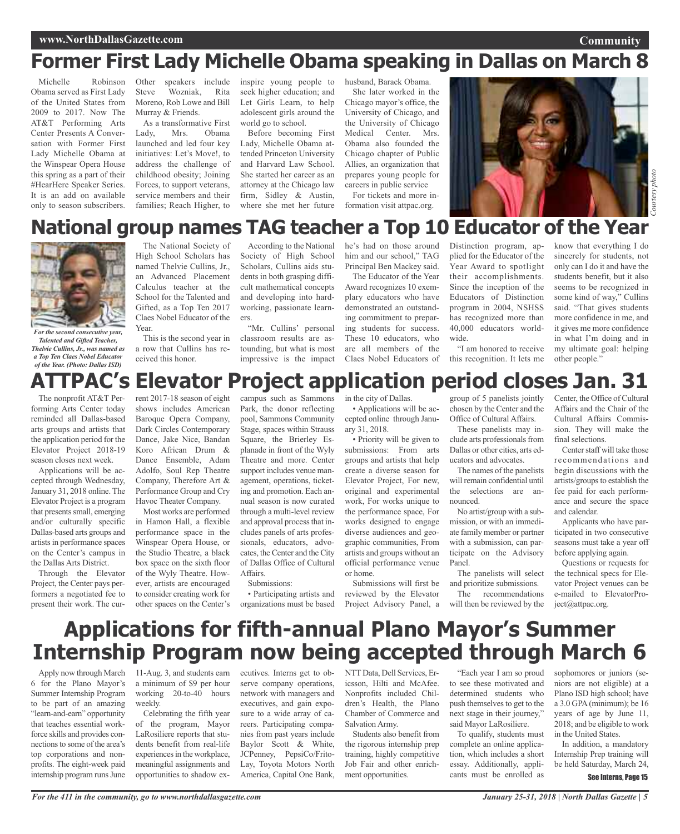**Community**

# **Former First Lady Michelle Obama speaking in Dallas on March 8**

Michelle Robinson Obama served as First Lady of the United States from 2009 to 2017. Now The AT&T Performing Arts Center Presents A Conversation with Former First Lady Michelle Obama at the Winspear Opera House this spring as a part of their #HearHere Speaker Series. It is an add on available only to season subscribers.

Other speakers include Steve Wozniak, Rita Moreno, Rob Lowe and Bill Murray & Friends. As a transformative First

Lady, Mrs. Obama launched and led four key initiatives: Let's Move!, to address the challenge of childhood obesity; Joining Forces, to support veterans, service members and their families; Reach Higher, to

inspire young people to seek higher education; and Let Girls Learn, to help adolescent girls around the world go to school.

Before becoming First Lady, Michelle Obama attended Princeton University and Harvard Law School. She started her career as an attorney at the Chicago law firm, Sidley & Austin, where she met her future husband, Barack Obama.

She later worked in the Chicago mayor's office, the University of Chicago, and the University of Chicago Medical Center. Mrs. Obama also founded the Chicago chapter of Public Allies, an organization that prepares young people for careers in public service

For tickets and more information visit attpac.org.

![](_page_4_Picture_11.jpeg)

### **National group names TAG teacher a Top 10 Educator of the Year**

![](_page_4_Picture_14.jpeg)

*For the second consecutive year, Talented and Gifted Teacher, Thelvie Cullins, Jr., was named as a Top Ten Claes Nobel Educator of the Year. (Photo: Dallas ISD)*

The nonprofit AT&T Performing Arts Center today reminded all Dallas-based arts groups and artists that the application period for the Elevator Project 2018-19 season closes next week.

Applications will be accepted through Wednesday, January 31, 2018 online. The Elevator Project is a program that presents small, emerging and/or culturally specific Dallas-based arts groups and artistsin performance spaces on the Center's campus in the Dallas Arts District.

Through the Elevator Project, the Center pays performers a negotiated fee to present their work. The cur-

The National Society of High School Scholars has named Thelvie Cullins, Jr., an Advanced Placement Calculus teacher at the School for the Talented and Gifted, as a Top Ten 2017 Claes Nobel Educator of the Year.

This is the second year in a row that Cullins has received this honor.

According to the National Society of High School Scholars, Cullins aids students in both grasping difficult mathematical concepts and developing into hardworking, passionate learners.

"Mr. Cullins' personal classroom results are astounding, but what is most impressive is the impact he's had on those around him and our school," TAG Principal Ben Mackey said.

The Educator of the Year Award recognizes 10 exemplary educators who have demonstrated an outstanding commitment to preparing students for success. These 10 educators, who are all members of the Claes Nobel Educators of Distinction program, applied for the Educator of the Year Award to spotlight their accomplishments. Since the inception of the Educators of Distinction program in 2004, NSHSS has recognized more than 40,000 educators worldwide. "I am honored to receive

know that everything I do sincerely for students, not only can I do it and have the students benefit, but it also seems to be recognized in some kind of way," Cullins said. "That gives students more confidence in me, and it gives me more confidence in what I'm doing and in my ultimate goal: helping other people."

### this recognition. It lets me **ATTPAC's Elevator Project application period closes Jan. 31**

rent 2017-18 season of eight shows includes American Baroque Opera Company, Dark Circles Contemporary Dance, Jake Nice, Bandan Koro African Drum & Dance Ensemble, Adam Adolfo, Soul Rep Theatre Company, Therefore Art & Performance Group and Cry Havoc Theater Company.

Most works are performed in Hamon Hall, a flexible performance space in the Winspear Opera House, or the Studio Theatre, a black box space on the sixth floor of the Wyly Theatre. However, artists are encouraged to consider creating work for other spaces on the Center's campus such as Sammons Park, the donor reflecting pool, Sammons Community Stage, spaces within Strauss Square, the Brierley Esplanade in front of the Wyly Theatre and more. Center support includes venue management, operations, ticketing and promotion. Each annual season is now curated through a multi-level review and approval process that includes panels of arts professionals, educators, advocates, the Center and the City of Dallas Office of Cultural Affairs.

#### Submissions:

• Participating artists and organizations must be based

in the city of Dallas. • Applications will be accepted online through January 31, 2018.

• Priority will be given to submissions: From arts groups and artists that help create a diverse season for Elevator Project, For new, original and experimental work, For works unique to the performance space, For works designed to engage diverse audiences and geographic communities, From artists and groups without an official performance venue or home.

Submissions will first be reviewed by the Elevator Project Advisory Panel, a group of 5 panelists jointly chosen by the Center and the Office of Cultural Affairs.

These panelists may include arts professionals from Dallas or other cities, arts educators and advocates.

The names of the panelists will remain confidential until the selections are announced.

No artist/group with a submission, or with an immediate family member or partner with a submission, can participate on the Advisory Panel.

The panelists will select and prioritize submissions. The recommendations

will then be reviewed by the

Center, the Office of Cultural Affairs and the Chair of the Cultural Affairs Commission. They will make the final selections.

Center staff will take those recommendations and begin discussions with the artists/groups to establish the fee paid for each performance and secure the space and calendar.

Applicants who have participated in two consecutive seasons must take a year off before applying again.

Questions or requests for the technical specs for Elevator Project venues can be e-mailed to ElevatorProject@attpac.org.

## **Applications for fifth-annual Plano Mayor's Summer Internship Program now being accepted through March 6**

Apply now through March 6 for the Plano Mayor's Summer Internship Program to be part of an amazing "learn-and-earn" opportunity that teaches essential workforce skills and provides connections to some of the area's top corporations and nonprofits. The eight-week paid internship program runs June

11-Aug. 3, and students earn a minimum of \$9 per hour working 20-to-40 hours weekly.

Celebrating the fifth year of the program, Mayor LaRosiliere reports that students benefit from real-life experiences in the workplace, meaningful assignments and opportunities to shadow ex-

ecutives. Interns get to observe company operations, network with managers and executives, and gain exposure to a wide array of careers. Participating companies from past years include Baylor Scott & White, JCPenney, PepsiCo/Frito-Lay, Toyota Motors North America, Capital One Bank,

NTT Data, Dell Services, Ericsson, Hilti and McAfee. Nonprofits included Children's Health, the Plano Chamber of Commerce and Salvation Army.

Students also benefit from the rigorous internship prep training, highly competitive Job Fair and other enrichment opportunities.

"Each year I am so proud to see these motivated and determined students who push themselves to get to the next stage in their journey," said Mayor LaRosiliere.

To qualify, students must complete an online application, which includes a short essay. Additionally, applicants must be enrolled as

sophomores or juniors (seniors are not eligible) at a Plano ISD high school; have a 3.0 GPA(minimum); be 16 years of age by June 11, 2018; and be eligible to work in the United States.

In addition, a mandatory Internship Prep training will be held Saturday, March 24,

### See Interns, Page 15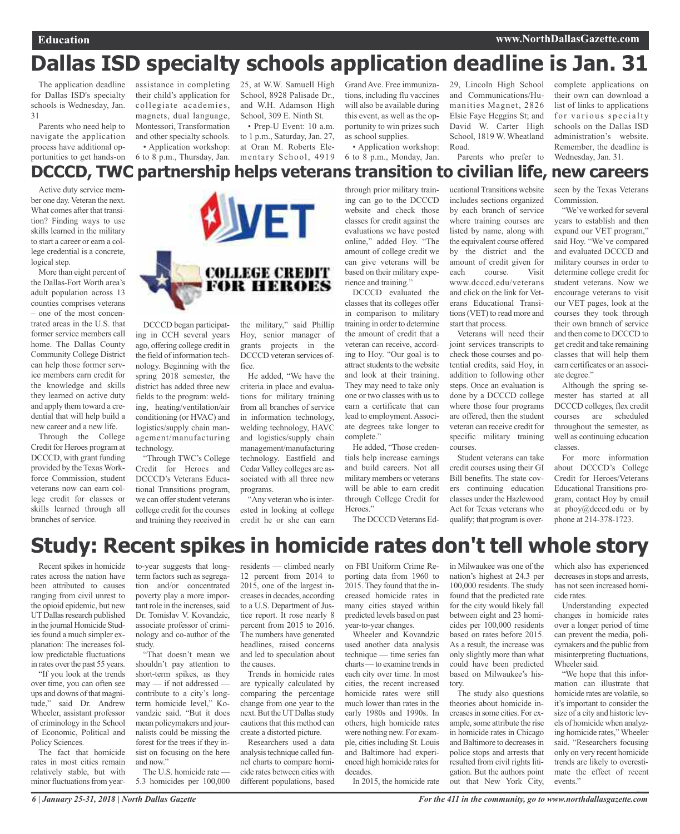# **Dallas ISD specialty schools application deadline is Jan. 31**

The application deadline for Dallas ISD's specialty schools is Wednesday, Jan. 31

Parents who need help to navigate the application process have additional opportunities to get hands-on

assistance in completing 25, at W.W. Samuell High their child's application for collegiate academies, magnets, dual language, Montessori, Transformation and other specialty schools.

• Application workshop:

School, 8928 Palisade Dr., and W.H. Adamson High School, 309 E. Ninth St.

6 to 8 p.m., Thursday, Jan. mentary School, 4919 • Prep-U Event: 10 a.m. to 1 p.m., Saturday, Jan. 27, at Oran M. Roberts Ele-

Grand Ave. Free immunizations, including flu vaccines will also be available during this event, as well as the opportunity to win prizes such as school supplies.

• Application workshop: 6 to 8 p.m., Monday, Jan.

29, Lincoln High School and Communications/Humanities Magnet, 2826 Elsie Faye Heggins St; and David W. Carter High School, 1819 W. Wheatland Road.

Parents who prefer to

complete applications on their own can download a list of links to applications for various specialty schools on the Dallas ISD administration's website. Remember, the deadline is Wednesday, Jan. 31.

### **DCCCD, TWC partnership helps veterans transition to civilian life, new careers**

Active duty service member one day. Veteran the next. What comes after that transition? Finding ways to use skills learned in the military to start a career or earn a college credential is a concrete, logical step.

More than eight percent of the Dallas-Fort Worth area's adult population across 13 counties comprises veterans – one of the most concentrated areas in the U.S. that former service members call home. The Dallas County Community College District can help those former service members earn credit for the knowledge and skills they learned on active duty and apply them toward a credential that will help build a new career and a new life.

Through the College Credit for Heroes program at DCCCD, with grant funding provided by the Texas Workforce Commission, student veterans now can earn college credit for classes or skills learned through all branches of service.

![](_page_5_Picture_18.jpeg)

DCCCD began participating in CCH several years ago, offering college credit in the field of information technology. Beginning with the spring 2018 semester, the district has added three new fields to the program: welding, heating/ventilation/air conditioning (or HVAC) and logistics/supply chain management/manufacturing technology.

"Through TWC's College Credit for Heroes and DCCCD's Veterans Educational Transitions program, we can offer student veterans college credit for the courses and training they received in the military," said Phillip Hoy, senior manager of grants projects in the DCCCD veteran services office.

He added, "We have the criteria in place and evaluations for military training from all branches of service in information technology, welding technology, HAVC and logistics/supply chain management/manufacturing technology. Eastfield and Cedar Valley colleges are associated with all three new programs.

"Any veteran who is interested in looking at college credit he or she can earn

through prior military training can go to the DCCCD website and check those classes for credit against the evaluations we have posted online," added Hoy. "The amount of college credit we can give veterans will be based on their military experience and training."

DCCCD evaluated the classes that its colleges offer in comparison to military training in order to determine the amount of credit that a veteran can receive, according to Hoy. "Our goal is to attract students to the website and look at their training. They may need to take only one or two classes with us to earn a certificate that can lead to employment.Associate degrees take longer to complete."

He added, "Those credentials help increase earnings and build careers. Not all military members or veterans will be able to earn credit through College Credit for Heroes<sup>"</sup>

The DCCCD Veterans Ed-

ucational Transitions website includes sections organized by each branch of service where training courses are listed by name, along with the equivalent course offered by the district and the amount of credit given for<br>each course. Visit course. Visit www.dcccd.edu/veterans and click on the link for Veterans Educational Transitions(VET) to read more and start that process.

Veterans will need their joint services transcripts to check those courses and potential credits, said Hoy, in addition to following other steps. Once an evaluation is done by a DCCCD college where those four programs are offered, then the student veteran can receive credit for specific military training courses.

Student veterans can take credit courses using their GI Bill benefits. The state covers continuing education classes under the Hazlewood Act for Texas veterans who qualify; that program is overseen by the Texas Veterans Commission.

"We've worked for several years to establish and then expand our VET program," said Hoy. "We've compared and evaluated DCCCD and military courses in order to determine college credit for student veterans. Now we encourage veterans to visit our VET pages, look at the courses they took through their own branch of service and then come to DCCCD to get credit and take remaining classes that will help them earn certificates or an associate degree."

Although the spring semester has started at all DCCCD colleges, flex credit courses are scheduled throughout the semester, as well as continuing education classes.

For more information about DCCCD's College Credit for Heroes/Veterans Educational Transitions program, contact Hoy by email at phoy@dcccd.edu or by phone at 214-378-1723.

### **Study: Recent spikes in homicide rates don't tell whole story**

Recent spikes in homicide rates across the nation have been attributed to causes ranging from civil unrest to the opioid epidemic, but new UT Dallas research published in the journal Homicide Studies found a much simpler explanation: The increases follow predictable fluctuations in rates over the past 55 years.

"If you look at the trends over time, you can often see ups and downs of that magnitude," said Dr. Andrew Wheeler, assistant professor of criminology in the School of Economic, Political and Policy Sciences.

The fact that homicide rates in most cities remain relatively stable, but with minor fluctuations from yearto-year suggests that longterm factors such as segregation and/or concentrated poverty play a more important role in the increases, said Dr. Tomislav V. Kovandzic, associate professor of criminology and co-author of the study.

"That doesn't mean we shouldn't pay attention to short-term spikes, as they may — if not addressed contribute to a city's longterm homicide level," Kovandzic said. "But it does mean policymakers and journalists could be missing the forest for the trees if they insist on focusing on the here and now."

The U.S. homicide rate — 5.3 homicides per 100,000

residents — climbed nearly 12 percent from 2014 to 2015, one of the largest increasesin decades, according to a U.S. Department of Justice report. It rose nearly 8 percent from 2015 to 2016. The numbers have generated headlines, raised concerns and led to speculation about the causes.

Trends in homicide rates are typically calculated by comparing the percentage change from one year to the next. But the UT Dallas study cautions that this method can create a distorted picture.

Researchers used a data analysis technique called funnel charts to compare homicide rates between cities with different populations, based on FBI Uniform Crime Reporting data from 1960 to 2015. They found that the increased homicide rates in many cities stayed within predicted levels based on past year-to-year changes.

Wheeler and Kovandzic used another data analysis technique — time series fan charts — to examine trends in each city over time. In most cities, the recent increased homicide rates were still much lower than rates in the early 1980s and 1990s. In others, high homicide rates were nothing new. For example, cities including St. Louis and Baltimore had experienced high homicide rates for decades.

In 2015, the homicide rate

in Milwaukee was one of the nation's highest at 24.3 per 100,000 residents. The study found that the predicted rate for the city would likely fall between eight and 23 homicides per 100,000 residents based on rates before 2015. As a result, the increase was only slightly more than what could have been predicted based on Milwaukee's history.

The study also questions theories about homicide increasesin some cities. For example, some attribute the rise in homicide rates in Chicago and Baltimore to decreases in police stops and arrests that resulted from civil rights litigation. But the authors point out that New York City,

which also has experienced decreases in stops and arrests. has not seen increased homicide rates.

Understanding expected changes in homicide rates over a longer period of time can prevent the media, policymakers and the public from misinterpreting fluctuations, Wheeler said.

"We hope that this information can illustrate that homicide rates are volatile, so it's important to consider the size of a city and historic levels of homicide when analyzing homicide rates,"Wheeler said. "Researchers focusing only on very recent homicide trends are likely to overestimate the effect of recent events."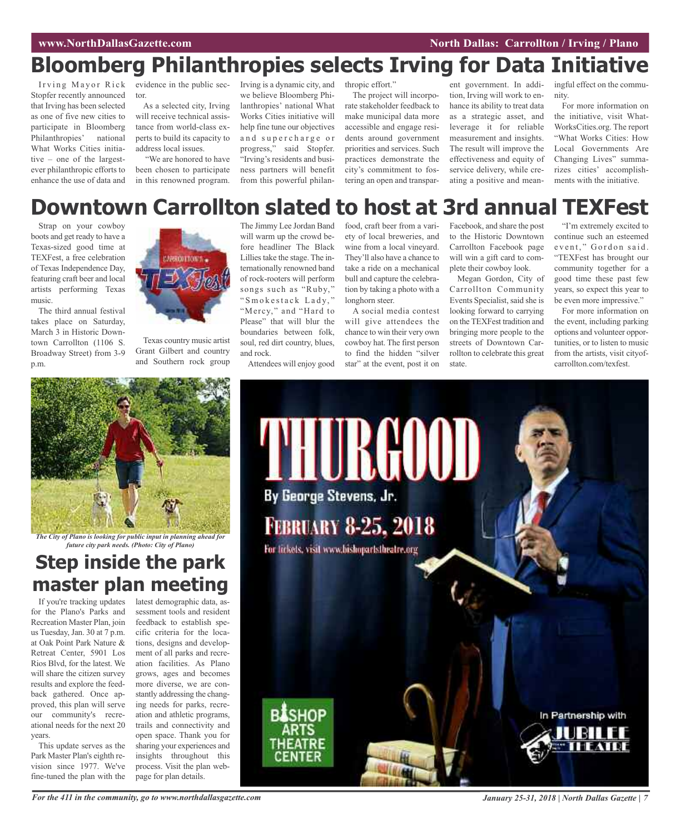# **Bloomberg Philanthropies selects Irving for Data Initiative**

Irving Mayor Rick Stopfer recently announced that Irving has been selected as one of five new cities to participate in Bloomberg Philanthropies' national What Works Cities initiative – one of the largestever philanthropic efforts to enhance the use of data and

evidence in the public sec-Irving is a dynamic city, and tor.

As a selected city, Irving will receive technical assistance from world-class experts to build its capacity to address local issues.

"We are honored to have been chosen to participate in this renowned program.

we believe Bloomberg Philanthropies' national What Works Cities initiative will help fine tune our objectives and supercharge or progress," said Stopfer. "Irving's residents and business partners will benefit from this powerful philan-

thropic effort."

The project will incorporate stakeholder feedback to make municipal data more accessible and engage residents around government priorities and services. Such practices demonstrate the city's commitment to fostering an open and transpar-

ent government. In addition, Irving will work to enhance its ability to treat data as a strategic asset, and leverage it for reliable measurement and insights. The result will improve the effectiveness and equity of service delivery, while creating a positive and meaningful effect on the community.

For more information on the initiative, visit What-WorksCities.org. The report "What Works Cities: How Local Governments Are Changing Lives" summarizes cities' accomplishments with the initiative.

# **Downtown Carrollton slated to host at 3rd annual TEXFest**

Strap on your cowboy boots and get ready to have a Texas-sized good time at TEXFest, a free celebration of Texas Independence Day, featuring craft beer and local artists performing Texas music.

The third annual festival takes place on Saturday, March 3 in Historic Downtown Carrollton (1106 S. Broadway Street) from 3-9 p.m.

![](_page_6_Picture_16.jpeg)

Texas country music artist Grant Gilbert and country and Southern rock group The Jimmy Lee Jordan Band will warm up the crowd before headliner The Black Lillies take the stage. The internationally renowned band of rock-rooters will perform songs such as "Ruby," " Smokestack Lady," "Mercy," and "Hard to Please" that will blur the boundaries between folk, soul, red dirt country, blues, and rock.

Attendees will enjoy good

food, craft beer from a variety of local breweries, and wine from a local vineyard. They'll also have a chance to take a ride on a mechanical bull and capture the celebration by taking a photo with a longhorn steer.

A social media contest will give attendees the chance to win their very own cowboy hat. The first person to find the hidden "silver star" at the event, post it on

Facebook, and share the post to the Historic Downtown Carrollton Facebook page will win a gift card to complete their cowboy look.

Megan Gordon, City of Carrollton Community Events Specialist, said she is looking forward to carrying on the TEXFest tradition and bringing more people to the streets of Downtown Carrollton to celebrate this great state.

"I'm extremely excited to continue such an esteemed event," Gordon said. "TEXFest has brought our community together for a good time these past few years, so expect this year to be even more impressive."

For more information on the event, including parking options and volunteer opportunities, or to listen to music from the artists, visit cityofcarrollton.com/texfest.

![](_page_6_Picture_26.jpeg)

*The City of Plano is looking for public input in planning ahead for future city park needs. (Photo: City of Plano)*

### **Step inside the park master plan meeting**

If you're tracking updates for the Plano's Parks and Recreation Master Plan, join us Tuesday, Jan. 30 at 7 p.m. at Oak Point Park Nature & Retreat Center, 5901 Los Rios Blvd, for the latest. We will share the citizen survey results and explore the feedback gathered. Once approved, this plan will serve our community's recreational needs for the next 20 years.

This update serves as the Park Master Plan's eighth revision since 1977. We've fine-tuned the plan with the

latest demographic data, assessment tools and resident feedback to establish specific criteria for the locations, designs and development of all parks and recreation facilities. As Plano grows, ages and becomes more diverse, we are constantly addressing the changing needs for parks, recreation and athletic programs, trails and connectivity and open space. Thank you for sharing your experiences and insights throughout this process. Visit the plan webpage for plan details.

![](_page_6_Picture_32.jpeg)

For the 411 in the community, go to www.northdallasgazette.com January 25-31, 2018 | North Dallas Gazette | 7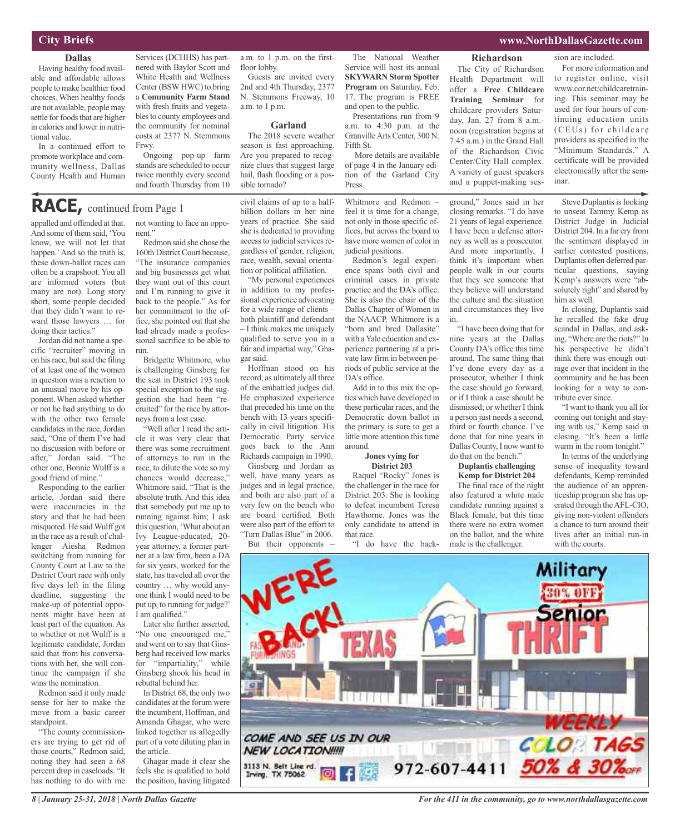### **City Briefs**

### **Dallas**

Having healthy food available and affordable allows people to make healthier food choices. When healthy foods are not available, people may settle for foods that are higher in calories and lower in nutritional value.

In a continued effort to promote workplace and community wellness, Dallas County Health and Human

Services (DCHHS) has partnered with Baylor Scott and White Health and Wellness Center (BSWHWC) to bring a **Community Farm Stand** with fresh fruits and vegetables to county employees and the community for nominal costs at 2377 N. Stemmons Frwy.

Ongoing pop-up farm stands are scheduled to occur twice monthly every second and fourth Thursday from 10

### **RACE,** continued from Page <sup>1</sup>

appalled and offended at that. And some of them said, 'You know, we will not let that happen.' And so the truth is, these down-ballot races can often be a crapshoot. You all are informed voters (but many are not). Long story short, some people decided that they didn't want to reward those lawyers … for doing their tactics."

Jordan did not name a specific "recruiter" moving in on hisrace, butsaid the filing of at least one of the women in question was a reaction to an unusual move by his opponent. When asked whether or not he had anything to do with the other two female candidates in the race, Jordan said, "One of them I've had no discussion with before or after," Jordan said. "The other one, Bonnie Wulff is a good friend of mine."

Responding to the earlier article, Jordan said there were inaccuracies in the story and that he had been misquoted. He saidWulff got in the race as a result of challenger Aiesha Redmon switching from running for County Court at Law to the District Court race with only five days left in the filing deadline, suggesting the make-up of potential opponents might have been at least part of the equation. As to whether or not Wulff is a legitimate candidate, Jordan said that from his conversations with her, she will continue the campaign if she wins the nomination.

Redmon said it only made sense for her to make the move from a basic career standpoint.

"The county commissioners are trying to get rid of those courts," Redmon said, noting they had seen a 68 percent drop in caseloads. "It has nothing to do with me

not wanting to face an opponent."

Redmon said she chose the 160th District Court because, "The insurance companies and big businesses get what they want out of this court and I'm running to give it back to the people." As for her commitment to the office, she pointed out that she had already made a professional sacrifice to be able to run.

Bridgette Whitmore, who is challenging Ginsberg for the seat in District 193 took special exception to the suggestion she had been "recruited" for the race by attorneys from a lost case.

"Well after I read the article it was very clear that there was some recruitment of attorneys to run in the race, to dilute the vote so my chances would decrease," Whitmore said. "That is the absolute truth. And this idea that somebody put me up to running against him; I ask this question, 'What about an Ivy League-educated, 20 year attorney, a former partner at a law firm, been a DA for six years, worked for the state, has traveled all over the country … why would anyone think I would need to be put up, to running for judge?' I am qualified."

Later she further asserted, "No one encouraged me," and went on to say that Ginsberg had received low marks for "impartiality," while Ginsberg shook his head in rebuttal behind her.

In District 68, the only two candidates at the forum were the incumbent, Hoffman, and Amanda Ghagar, who were linked together as allegedly part of a vote diluting plan in the article.

Ghagar made it clear she feels she is qualified to hold the position, having litigated a.m. to 1 p.m. on the firstfloor lobby.

Guests are invited every 2nd and 4th Thursday, 2377 N. Stemmons Freeway, 10 a.m. to 1 p.m.

#### **Garland**

The 2018 severe weather season is fast approaching. Are you prepared to recognize clues that suggest large hail, flash flooding or a possible tornado?

civil claims of up to a halfbillion dollars in her nine years of practice. She said she is dedicated to providing access to judicial services regardless of gender, religion, race, wealth, sexual orientation or political affiliation.

"My personal experiences in addition to my professional experience advocating for a wide range of clients – both plaintiff and defendant – I think makes me uniquely qualified to serve you in a fair and impartial way," Ghagar said.

Hoffman stood on his record, as ultimately all three of the embattled judges did. He emphasized experience that preceded his time on the bench with 13 years specifically in civil litigation. His Democratic Party service goes back to the Ann Richards campaign in 1990.

Ginsberg and Jordan as well, have many years as judges and in legal practice, and both are also part of a very few on the bench who are board certified. Both were also part of the effort to "Turn Dallas Blue" in 2006.

The National Weather Service will host its annual **SKYWARN Storm Spotter Program** on Saturday, Feb. 17. The program is FREE and open to the public.

Presentations run from 9 a.m. to 4:30 p.m. at the GranvilleArts Center, 300 N. Fifth St.

More details are available of page 4 in the January edition of the Garland City Press.

Whitmore and Redmon – feel it is time for a change, not only in those specific offices, but across the board to have more women of color in judicial positions.

Redmon's legal experience spans both civil and criminal cases in private practice and the DA's office. She is also the chair of the Dallas Chapter of Women in the NAACP. Whitmore is a "born and bred Dallasite" with a Yale education and experience partnering at a private law firm in between periods of public service at the DA's office.

Add in to this mix the optics which have developed in these particular races, and the Democratic down ballot in the primary is sure to get a little more attention this time around.

**Jones vying for District 203**

Raquel "Rocky" Jones is the challenger in the race for District 203. She is looking to defeat incumbent Teresa Hawthorne. Jones was the only candidate to attend in that race.

**Richardson**

The City of Richardson Health Department will offer a **Free Childcare Training Seminar** for childcare providers Saturday, Jan. 27 from 8 a.m. noon (registration begins at 7:45 a.m.) in the Grand Hall of the Richardson Civic Center/City Hall complex. A variety of guest speakers and a puppet-making ses-

ground," Jones said in her closing remarks. "I do have 21 years of legal experience. I have been a defense attorney as well as a prosecutor. And more importantly, I think it's important when people walk in our courts that they see someone that they believe will understand the culture and the situation and circumstances they live in.

"I have been doing that for nine years at the Dallas County DA's office this time around. The same thing that I've done every day as a prosecutor, whether I think the case should go forward, or if I think a case should be dismissed; or whether I think a person just needs a second, third or fourth chance. I've done that for nine years in Dallas County, I now want to do that on the bench."

### **Duplantis challenging Kemp for District 204**

The final race of the night also featured a white male candidate running against a Black female, but this time there were no extra women on the ballot, and the white sion are included.

For more information and to register online, visit www.cor.net/childcaretraining. This seminar may be used for four hours of continuing education units (CEUs) for childcare providers as specified in the "Minimum Standards." A certificate will be provided electronically after the seminar.

Steve Duplantis is looking to unseat Tammy Kemp as District Judge in Judicial District 204. In a far cry from the sentiment displayed in earlier contested positions, Duplantis often deferred particular questions, saying Kemp's answers were "absolutely right" and shared by him as well.

In closing, Duplantis said he recalled the fake drug scandal in Dallas, and asking, "Where are the riots?" In his perspective he didn't think there was enough outrage over that incident in the community and he has been looking for a way to contribute ever since.

"I want to thank you all for coming out tonight and staying with us," Kemp said in closing. "It's been a little warm in the room tonight."

In terms of the underlying sense of inequality toward defendants, Kemp reminded the audience of an apprenticeship program she has operated through theAFL-CIO, giving non-violent offenders a chance to turn around their lives after an initial run-in

![](_page_7_Picture_47.jpeg)

*8 | January 25-31, 2018 | North Dallas Gazette*

*For the 411 in the community, go to www.northdallasgazette.com*

### **www.NorthDallasGazette.com**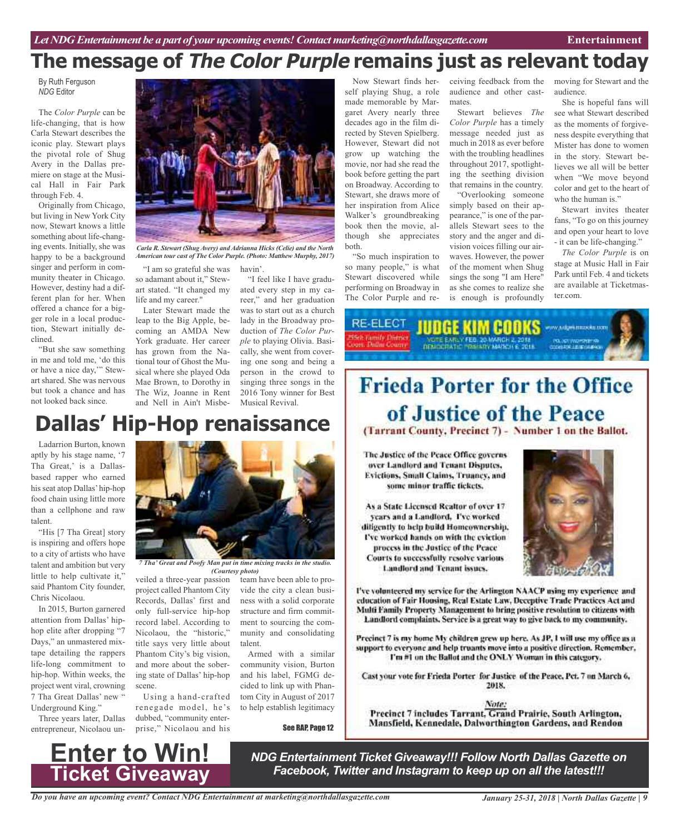# **The message of The Color Purple remains just as relevant today**

By Ruth Ferguson *NDG* Editor

The *Color Purple* can be life-changing, that is how Carla Stewart describes the iconic play. Stewart plays the pivotal role of Shug Avery in the Dallas premiere on stage at the Musical Hall in Fair Park through Feb. 4.

Originally from Chicago, but living in New York City now, Stewart knows a little something about life-changing events. Initially, she was happy to be a background singer and perform in community theater in Chicago. However, destiny had a different plan for her. When offered a chance for a bigger role in a local production, Stewart initially declined.

"But she saw something in me and told me, 'do this or have a nice day,'" Stewart shared. She was nervous but took a chance and has not looked back since.

![](_page_8_Picture_6.jpeg)

*Carla R. Stewart (Shug Avery) and Adrianna Hicks (Celie) and the North American tour cast of The Color Purple. (Photo: Matthew Murphy, 2017)*

"I am so grateful she was havin'. so adamant about it," Stewart stated. "It changed my life and my career."

Later Stewart made the leap to the Big Apple, becoming an AMDA New York graduate. Her career has grown from the National tour of Ghost the Musical where she played Oda Mae Brown, to Dorothy in The Wiz, Joanne in Rent and Nell in Ain't Misbe-

"I feel like I have graduated every step in my career," and her graduation was to start out as a church lady in the Broadway production of *The Color Purple* to playing Olivia. Basically, she went from covering one song and being a person in the crowd to singing three songs in the 2016 Tony winner for Best Musical Revival.

# **Dallas' Hip-Hop renaissance**

Ladarrion Burton, known aptly by his stage name, '7 Tha Great,' is a Dallasbased rapper who earned his seat atop Dallas' hip-hop food chain using little more than a cellphone and raw talent.

"His [7 Tha Great] story is inspiring and offers hope to a city of artists who have talent and ambition but very little to help cultivate it," said Phantom City founder, Chris Nicolaou.

In 2015, Burton garnered attention from Dallas' hiphop elite after dropping "7 Days," an unmastered mixtape detailing the rappers life-long commitment to hip-hop. Within weeks, the project went viral, crowning 7 Tha Great Dallas' new " Underground King."

Three years later, Dallas entrepreneur, Nicolaou un-

![](_page_8_Picture_17.jpeg)

*7 Tha' Great and Poofy Man put in time mixing tracks in the studio. (Courtesy photo)*

veiled a three-year passion project called Phantom City Records, Dallas' first and only full-service hip-hop record label. According to Nicolaou, the "historic," title says very little about Phantom City's big vision, and more about the sobering state of Dallas' hip-hop scene.

Using a hand-crafted renegade model, he's dubbed, "community enterprise," Nicolaou and his

team have been able to provide the city a clean business with a solid corporate structure and firm commitment to sourcing the community and consolidating talent.

Armed with a similar community vision, Burton and his label, FGMG decided to link up with Phantom City in August of 2017 to help establish legitimacy

See RAP, Page 12

self playing Shug, a role made memorable by Margaret Avery nearly three decades ago in the film directed by Steven Spielberg. However, Stewart did not grow up watching the movie, nor had she read the book before getting the part on Broadway. According to Stewart, she draws more of her inspiration from Alice Walker's groundbreaking book then the movie, although she appreciates both.

"So much inspiration to so many people," is what Stewart discovered while performing on Broadway in The Color Purple and re-

Now Stewart finds her-ceiving feedback from the audience and other castmates.

> Stewart believes *The Color Purple* has a timely message needed just as much in 2018 as ever before with the troubling headlines throughout 2017, spotlighting the seething division that remains in the country.

> "Overlooking someone simply based on their appearance," is one of the parallels Stewart sees to the story and the anger and division voices filling our airwaves. However, the power of the moment when Shug sings the song "I am Here" as she comes to realize she is enough is profoundly

moving for Stewart and the audience.

She is hopeful fans will see what Stewart described as the moments of forgiveness despite everything that Mister has done to women in the story. Stewart believes we all will be better when "We move beyond color and get to the heart of who the human is."

Stewart invites theater fans, "To go on this journey and open your heart to love - it can be life-changing."

*The Color Purple* is on stage at Music Hall in Fair Park until Feb. 4 and tickets are available at Ticketmaster.com.

**RE-ELECT** JUDGE KIM COOKS www.adgetimiooku.com

# **Frieda Porter for the Office** of Justice of the Peace

(Tarrant County, Precinct 7) - Number 1 on the Ballot.

The Justice of the Peace Office governs over Landford and Tenant Disputes, Evictions, Small Claims, Truancy, and some minor traffic tickets.

As a State Licensed Realtor of over 17 years and a Landlord, I've worked diligently to help build Homcownership. I've worked hands on with the eviction process in the Justice of the Peace Courts to successfully resolve various Landlord and Tenant issues.

![](_page_8_Picture_38.jpeg)

I've volunteered my service for the Arlington NAACP using my experience and education of Fair Housing, Real Estate Law, Deceptive Trade Practices Act and Multi Family Property Management to bring positive resolution to citizens with Landlord complaints. Service is a great way to give back to my community.

Precinct 7 is my home My children grew up here. As JP, I will use my office as a support to everyone and help truants move into a positive direction. Remember, I'm #1 on the Ballot and the ONLY Woman in this category.

Cast your vote for Frieda Porter for Justice of the Peace, Pct. 7 on March 6, 2018.

Note: Precinct 7 includes Tarrant, Grand Prairie, South Arlington, Mansfield, Kennedale, Dalworthington Gardens, and Rendon

![](_page_8_Picture_43.jpeg)

*NDG Entertainment Ticket Giveaway!!! Follow North Dallas Gazette on Facebook, Twitter and Instagram to keep up on all the latest!!!*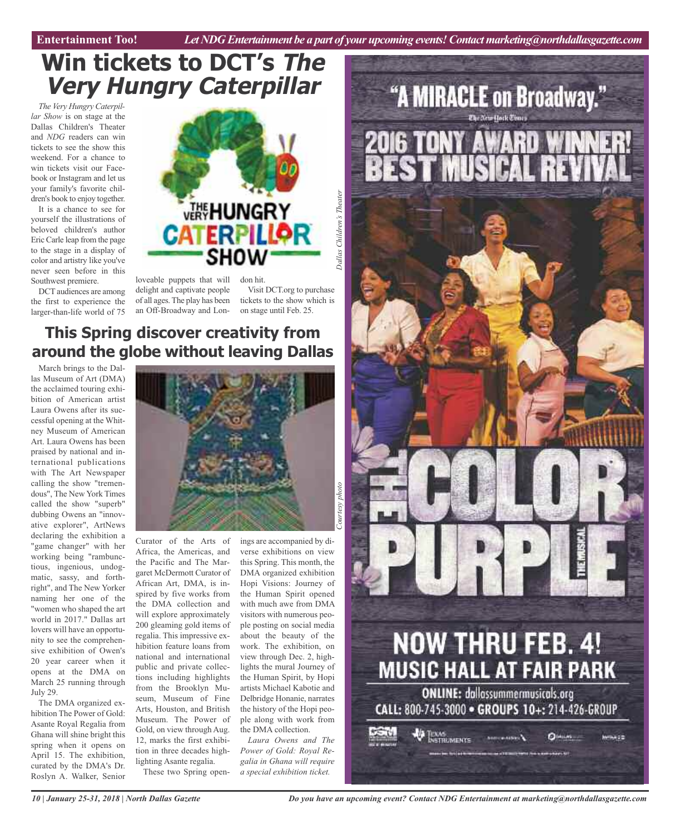**Car Review Entertainment Too!** *Let NDG Entertainment be a part of your upcoming events!Contactmarketing@northdallasgazette.com*

# **Win tickets to DCT's The Very Hungry Caterpillar**

*The Very Hungry Caterpillar Show* is on stage at the Dallas Children's Theater and *NDG* readers can win tickets to see the show this weekend. For a chance to win tickets visit our Facebook or Instagram and let us your family's favorite children's book to enjoy together.

It is a chance to see for yourself the illustrations of beloved children's author Eric Carle leap from the page to the stage in a display of color and artistry like you've never seen before in this Southwest premiere.

DCT audiences are among the first to experience the larger-than-life world of 75

![](_page_9_Picture_6.jpeg)

loveable puppets that will delight and captivate people of all ages. The play has been an Off-Broadway and Lon-

Visit DCT.org to purchase tickets to the show which is on stage until Feb. 25.

### **This Spring discover creativity from around the globe without leaving Dallas**

March brings to the Dallas Museum of Art (DMA) the acclaimed touring exhibition of American artist Laura Owens after its successful opening at the Whitney Museum of American Art. Laura Owens has been praised by national and international publications with The Art Newspaper calling the show "tremendous", The New York Times called the show "superb" dubbing Owens an "innovative explorer", ArtNews declaring the exhibition a "game changer" with her working being "rambunctious, ingenious, undogmatic, sassy, and forthright", and The New Yorker naming her one of the "women who shaped the art world in 2017." Dallas art lovers will have an opportunity to see the comprehensive exhibition of Owen's 20 year career when it opens at the DMA on March 25 running through July 29.

The DMA organized exhibition The Power of Gold: Asante Royal Regalia from Ghana will shine bright this spring when it opens on April 15. The exhibition, curated by the DMA's Dr. Roslyn A. Walker, Senior

![](_page_9_Picture_12.jpeg)

Curator of the Arts of Africa, the Americas, and the Pacific and The Margaret McDermott Curator of African Art, DMA, is inspired by five works from the DMA collection and will explore approximately 200 gleaming gold items of regalia. This impressive exhibition feature loans from national and international public and private collections including highlights from the Brooklyn Museum, Museum of Fine Arts, Houston, and British Museum. The Power of Gold, on view through Aug. 12, marks the first exhibition in three decades highlighting Asante regalia. These two Spring openings are accompanied by diverse exhibitions on view this Spring. This month, the DMA organized exhibition Hopi Visions: Journey of the Human Spirit opened with much awe from DMA visitors with numerous people posting on social media about the beauty of the work. The exhibition, on view through Dec. 2, highlights the mural Journey of the Human Spirit, by Hopi artists Michael Kabotie and Delbridge Honanie, narrates the history of the Hopi people along with work from the DMA collection.

*Laura Owens and The Power of Gold: Royal Regalia in Ghana will require a special exhibition ticket.*

![](_page_9_Picture_16.jpeg)

*Do you have an upcoming event? Contact NDG Entertainment at marketing@northdallasgazette.com*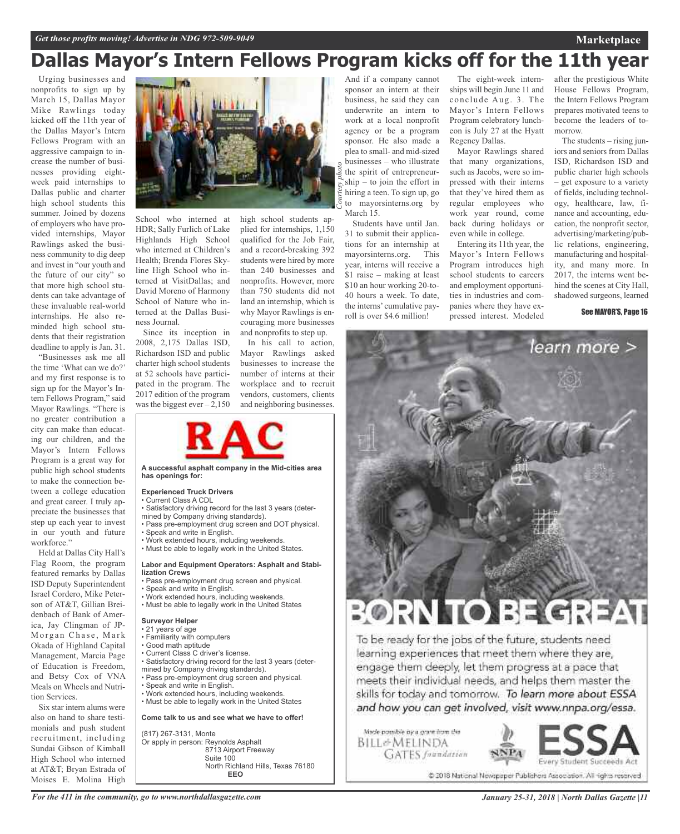# **Dallas Mayor's Intern Fellows Program kicks off for the 11th year**

Urging businesses and nonprofits to sign up by March 15, Dallas Mayor Mike Rawlings today kicked off the 11th year of the Dallas Mayor's Intern Fellows Program with an aggressive campaign to increase the number of businesses providing eightweek paid internships to Dallas public and charter high school students this summer. Joined by dozens of employers who have provided internships, Mayor Rawlings asked the business community to dig deep and invest in "our youth and the future of our city" so that more high school students can take advantage of these invaluable real-world internships. He also reminded high school students that their registration deadline to apply is Jan. 31.

"Businesses ask me all the time 'What can we do?' and my first response is to sign up for the Mayor's Intern Fellows Program," said Mayor Rawlings. "There is no greater contribution a city can make than educating our children, and the Mayor's Intern Fellows Program is a great way for public high school students to make the connection between a college education and great career. I truly appreciate the businesses that step up each year to invest in our youth and future workforce."

Held at Dallas City Hall's Flag Room, the program featured remarks by Dallas ISD Deputy Superintendent Israel Cordero, Mike Peterson of AT&T, Gillian Breidenbach of Bank of America, Jay Clingman of JP-Morgan Chase, Mark Okada of Highland Capital Management, Marcia Page of Education is Freedom, and Betsy Cox of VNA Meals on Wheels and Nutrition Services.

Six star intern alums were also on hand to share testimonials and push student recruitment, including Sundai Gibson of Kimball High School who interned at AT&T; Bryan Estrada of Moises E. Molina High

![](_page_10_Picture_6.jpeg)

School who interned at HDR; Sally Furlich of Lake Highlands High School who interned at Children's Health; Brenda Flores Skyline High School who interned at VisitDallas; and David Moreno of Harmony School of Nature who interned at the Dallas Business Journal.

Since its inception in 2008, 2,175 Dallas ISD, Richardson ISD and public charter high school students at 52 schools have participated in the program. The 2017 edition of the program was the biggest ever –  $2,150$  high school students applied for internships, 1,150 qualified for the Job Fair, and a record-breaking 392 students were hired by more than 240 businesses and nonprofits. However, more than 750 students did not land an internship, which is why Mayor Rawlings is encouraging more businesses and nonprofits to step up.

In his call to action. Mayor Rawlings asked businesses to increase the number of interns at their workplace and to recruit vendors, customers, clients and neighboring businesses.

![](_page_10_Picture_11.jpeg)

**A successful asphalt company in the Mid-cities area has openings for:**

#### **Experienced Truck Drivers**

- Current Class A CDL
- Satisfactory driving record for the last 3 years (determined by Company driving standards).
- Pass pre-employment drug screen and DOT physical.
- Speak and write in English.
- Work extended hours, including weekends. • Must be able to legally work in the United States.

#### **Labor and Equipment Operators: Asphalt and Stabilization Crews**

- Pass pre-employment drug screen and physical.
- Speak and write in English.
- Work extended hours, including weekends.
- Must be able to legally work in the United States

#### **Surveyor Helper**

- 21 years of age
- Familiarity with computers
- Good math aptitude
- Current Class C driver's license.
- Satisfactory driving record for the last 3 years (deter-
- mined by Company driving standards).
- Pass pre-employment drug screen and physical.
- Speak and write in English.
- Work extended hours, including weekends. • Must be able to legally work in the United States

**Come talk to us and see what we have to offer!**

(817) 267-3131, Monte Or apply in person: Reynolds Asphalt 8713 Airport Freeway Suite 100 North Richland Hills, Texas 76180 **EEO**

And if a company cannot sponsor an intern at their business, he said they can underwrite an intern to work at a local nonprofit agency or be a program sponsor. He also made a plea to small- and mid-sized businesses – who illustrate the spirit of entrepreneurship – to join the effort in hiring a teen. To sign up, go to mayorsinterns.org by March 15.

Students have until Jan. 31 to submit their applications for an internship at mayorsinterns.org. This year, interns will receive a \$1 raise – making at least \$10 an hour working 20-to-40 hours a week. To date, the interns' cumulative payroll is over \$4.6 million!

The eight-week internships will begin June 11 and conclude Aug. 3. The Mayor's Intern Fellows Program celebratory luncheon is July 27 at the Hyatt Regency Dallas.

Mayor Rawlings shared that many organizations, such as Jacobs, were so impressed with their interns that they've hired them as regular employees who work year round, come back during holidays or even while in college.

Entering its 11th year, the Mayor's Intern Fellows Program introduces high school students to careers and employment opportunities in industries and companies where they have expressed interest. Modeled after the prestigious White House Fellows Program, the Intern Fellows Program prepares motivated teens to become the leaders of tomorrow.

The students – rising juniors and seniors from Dallas ISD, Richardson ISD and public charter high schools – get exposure to a variety of fields, including technology, healthcare, law, finance and accounting, education, the nonprofit sector, advertising/marketing/public relations, engineering, manufacturing and hospitality, and many more. In 2017, the interns went behind the scenes at City Hall, shadowed surgeons, learned

See MAYOR'S, Page 16

learn more >

# TO BECR

To be ready for the jobs of the future, students need learning experiences that meet them where they are, engage them deeply, let them progress at a pace that meets their individual needs, and helps them master the skills for today and tomorrow. To learn more about ESSA and how you can get involved, visit www.nnpa.org/essa.

Made possible by a grant from the BILL&MELINDA **GATES** frandation

![](_page_10_Picture_47.jpeg)

@ 2018 National Newspaper Publishers Association. All rights reserved

*For the 411 in the community, go to www.northdallasgazette.com*

### **Marketplace**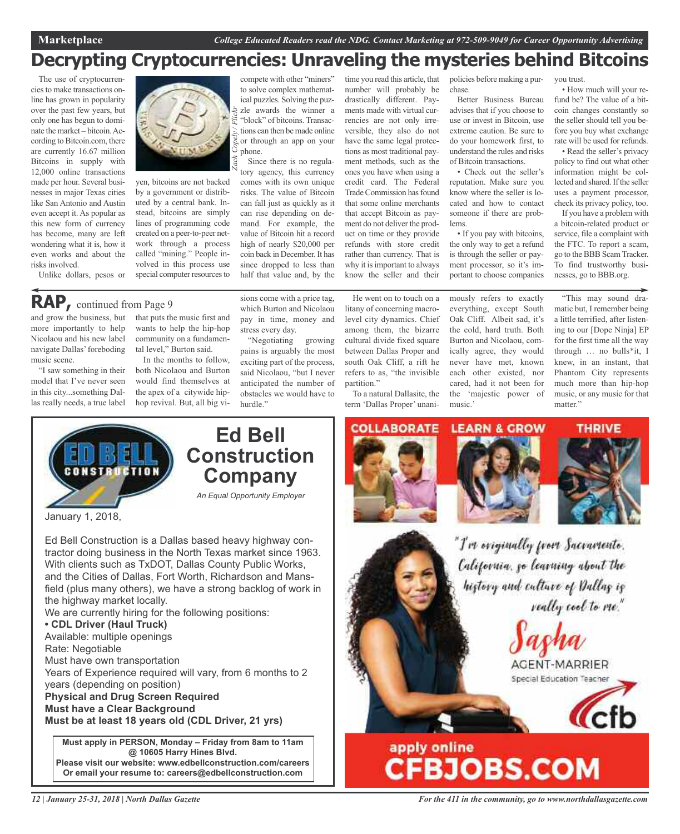### **Decrypting Cryptocurrencies: Unraveling the mysteries behind Bitcoins**

The use of cryptocurrenciesto make transactions online has grown in popularity over the past few years, but only one has begun to dominate the market – bitcoin.According to Bitcoin.com, there are currently 16.67 million Bitcoins in supply with 12,000 online transactions made per hour. Several businesses in major Texas cities like San Antonio and Austin even accept it. As popular as this new form of currency has become, many are left wondering what it is, how it even works and about the risks involved. Unlike dollars, pesos or

![](_page_11_Picture_4.jpeg)

yen, bitcoins are not backed by a government or distributed by a central bank. Instead, bitcoins are simply lines of programming code created on a peer-to-peer network through a process called "mining." People involved in this process use special computer resources to

and grow the business, but more importantly to help Nicolaou and his new label navigate Dallas'foreboding music scene. **RAP,** continued from Page <sup>9</sup>

"I saw something in their model that I've never seen in this city...something Dallas really needs, a true label

that puts the music first and wants to help the hip-hop community on a fundamental level," Burton said.

In the months to follow, both Nicolaou and Burton would find themselves at the apex of a citywide hiphop revival. But, all big vihalf that value and, by the sions come with a price tag, which Burton and Nicolaou pay in time, money and

compete with other "miners" to solve complex mathematical puzzles. Solving the puzzle awards the winner a "block" of bitcoins. Transactions can then be made online or through an app on your

Since there is no regulatory agency, this currency comes with its own unique risks. The value of Bitcoin can fall just as quickly as it can rise depending on demand. For example, the value of Bitcoin hit a record high of nearly \$20,000 per coin back in December. It has since dropped to less than

phone.

stress every day. "Negotiating growing pains is arguably the most exciting part of the process, said Nicolaou, "but I never anticipated the number of obstacles we would have to hurdle."

time you read this article, that number will probably be drastically different. Payments made with virtual currencies are not only irreversible, they also do not have the same legal protections as most traditional payment methods, such as the ones you have when using a credit card. The Federal Trade Commission has found that some online merchants that accept Bitcoin as payment do not deliver the product on time or they provide refunds with store credit rather than currency. That is why it is important to always know the seller and their

He went on to touch on a litany of concerning macrolevel city dynamics. Chief among them, the bizarre cultural divide fixed square between Dallas Proper and south Oak Cliff, a rift he refers to as, "the invisible partition."

To a natural Dallasite, the term 'Dallas Proper' unani-

COLLABORATE

policies before making a purchase.

Better Business Bureau advises that if you choose to use or invest in Bitcoin, use extreme caution. Be sure to do your homework first, to understand the rules and risks of Bitcoin transactions.

• Check out the seller's reputation. Make sure you know where the seller is located and how to contact someone if there are problems.

• If you pay with bitcoins, the only way to get a refund is through the seller or payment processor, so it's important to choose companies

mously refers to exactly everything, except South Oak Cliff. Albeit sad, it's the cold, hard truth. Both Burton and Nicolaou, comically agree, they would never have met, known each other existed, nor cared, had it not been for the 'majestic power of

music.'

you trust.

• How much will your refund be? The value of a bitcoin changes constantly so the seller should tell you before you buy what exchange rate will be used for refunds.

• Read the seller's privacy policy to find out what other information might be collected and shared. If the seller uses a payment processor, check its privacy policy, too.

If you have a problem with a bitcoin-related product or service, file a complaint with the FTC. To report a scam, go to the BBB ScamTracker. To find trustworthy businesses, go to BBB.org.

"This may sound dramatic but, I remember being a little terrified, after listening to our [Dope Ninja] EP for the first time all the way through … no bulls\*it, I knew, in an instant, that Phantom City represents much more than hip-hop music, or any music for that matter."

![](_page_11_Picture_25.jpeg)

### **Ed Bell Construction Company**

*An Equal Opportunity Employer*

January 1, 2018,

Ed Bell Construction is a Dallas based heavy highway contractor doing business in the North Texas market since 1963. With clients such as TxDOT, Dallas County Public Works, and the Cities of Dallas, Fort Worth, Richardson and Mansfield (plus many others), we have a strong backlog of work in the highway market locally.

We are currently hiring for the following positions:

### **• CDL Driver (Haul Truck)**

Available: multiple openings Rate: Negotiable Must have own transportation Years of Experience required will vary, from 6 months to 2 years (depending on position) **Physical and Drug Screen Required Must have a Clear Background Must be at least 18 years old (CDL Driver, 21 yrs)**

**Must apply in PERSON, Monday – Friday from 8am to 11am @ 10605 Harry Hines Blvd. Please visit our website: www.edbellconstruction.com/careers Or email your resume to: careers@edbellconstruction.com**

![](_page_11_Picture_34.jpeg)

![](_page_11_Picture_35.jpeg)

![](_page_11_Picture_36.jpeg)

"I've eviginally from Sacramente. California, go learning about the history and culture of Dallas is really cool to me."

AGENT-MARRIER Special Education Teacher

![](_page_11_Picture_39.jpeg)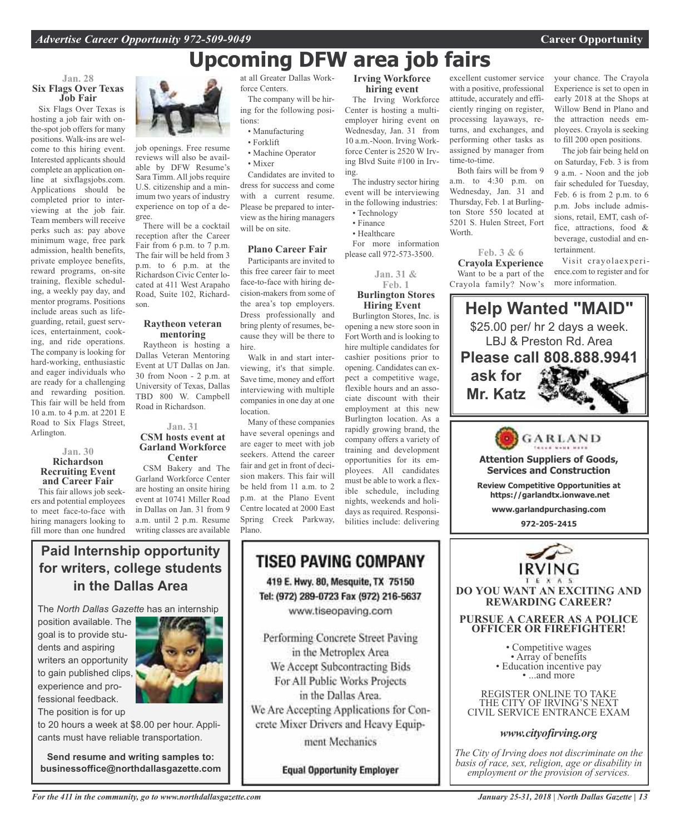# **Upcoming DFW area job fairs**

#### **Jan. 28 Six Flags Over Texas Job Fair**

Six Flags Over Texas is hosting a job fair with onthe-spot job offers for many positions. Walk-ins are welcome to this hiring event. Interested applicants should complete an application online at sixflagsjobs.com. Applications should be completed prior to interviewing at the job fair. Team members will receive perks such as: pay above minimum wage, free park admission, health benefits, private employee benefits, reward programs, on-site training, flexible scheduling, a weekly pay day, and mentor programs. Positions include areas such as lifeguarding, retail, guest services, entertainment, cooking, and ride operations. The company is looking for hard-working, enthusiastic and eager individuals who are ready for a challenging and rewarding position. This fair will be held from 10 a.m. to 4 p.m. at 2201 E Road to Six Flags Street, Arlington.

#### **Jan. 30 Richardson Recruiting Event and Career Fair**

This fair allows job seekers and potential employees to meet face-to-face with hiring managers looking to fill more than one hundred

![](_page_12_Picture_7.jpeg)

job openings. Free resume reviews will also be available by DFW Resume's Sara Timm. All jobs require U.S. citizenship and a minimum two years of industry experience on top of a degree.

There will be a cocktail reception after the Career Fair from 6 p.m. to 7 p.m. The fair will be held from 3 p.m. to 6 p.m. at the Richardson Civic Center located at 411 West Arapaho Road, Suite 102, Richardson.

#### **Raytheon veteran mentoring**

Raytheon is hosting a Dallas Veteran Mentoring Event at UT Dallas on Jan. 30 from Noon - 2 p.m. at University of Texas, Dallas TBD 800 W. Campbell Road in Richardson.

#### **Jan. 31 CSM hosts event at Garland Workforce Center**

CSM Bakery and The Garland Workforce Center are hosting an onsite hiring event at 10741 Miller Road in Dallas on Jan. 31 from 9 a.m. until 2 p.m. Resume writing classes are available at all Greater Dallas Workforce Centers.

The company will be hiring for the following positions:

- Manufacturing
- Forklift
- Machine Operator
- Mixer

Candidates are invited to dress for success and come with a current resume. Please be prepared to interview as the hiring managers will be on site.

### **Plano Career Fair**

Participants are invited to this free career fair to meet face-to-face with hiring decision-makers from some of the area's top employers. Dress professionally and bring plenty of resumes, because they will be there to hire.

Walk in and start interviewing, it's that simple. Save time, money and effort interviewing with multiple companies in one day at one location.

Many of these companies have several openings and are eager to meet with job seekers. Attend the career fair and get in front of decision makers. This fair will be held from 11 a.m. to 2 p.m. at the Plano Event Centre located at 2000 East Spring Creek Parkway, Plano.

TISEO PAVING COMPANY

419 E. Hwy. 80, Mesquite, TX 75150 Tel: (972) 289-0723 Fax (972) 216-5637 www.tiseopaving.com

Performing Concrete Street Paving in the Metroplex Area We Accept Subcontracting Bids For All Public Works Projects in the Dallas Area.

crete Mixer Drivers and Heavy Equipment Mechanics

**Equal Opportunity Employer** 

### **Irving Workforce hiring event**

The Irving Workforce Center is hosting a multiemployer hiring event on Wednesday, Jan. 31 from 10 a.m.-Noon. Irving Workforce Center is 2520 W Irving Blvd Suite #100 in Irving.

The industry sector hiring event will be interviewing in the following industries:

- Technology • Finance
- 

• Healthcare For more information

please call 972-573-3500.

**Jan. 31 & Feb. 1**

#### **Burlington Stores Hiring Event** Burlington Stores, Inc. is

opening a new store soon in Fort Worth and is looking to hire multiple candidates for cashier positions prior to opening. Candidates can expect a competitive wage, flexible hours and an associate discount with their employment at this new Burlington location. As a rapidly growing brand, the company offers a variety of training and development opportunities for its employees. All candidates must be able to work a flexible schedule, including nights, weekends and holidays as required. Responsibilities include: delivering

excellent customer service with a positive, professional attitude, accurately and efficiently ringing on register, processing layaways, returns, and exchanges, and performing other tasks as assigned by manager from time-to-time.

Both fairs will be from 9 a.m. to 4:30 p.m. on Wednesday, Jan. 31 and Thursday, Feb. 1 at Burlington Store 550 located at 5201 S. Hulen Street, Fort Worth.

### **Feb. 3 & 6**

**Crayola Experience** Want to be a part of the Crayola family? Now's your chance. The Crayola Experience is set to open in early 2018 at the Shops at Willow Bend in Plano and the attraction needs employees. Crayola is seeking to fill 200 open positions.

The job fair being held on on Saturday, Feb. 3 is from 9 a.m. - Noon and the job fair scheduled for Tuesday, Feb. 6 is from 2 p.m. to 6 p.m. Jobs include admissions, retail, EMT, cash office, attractions, food & beverage, custodial and entertainment.

Visit crayolaexperience.com to register and for more information.

![](_page_12_Picture_42.jpeg)

THE CITY OF IRVING'S NEXT CIVIL SERVICE ENTRANCE EXAM

### *www.cityofirving.org*

*The City of Irving does not discriminate on the basis of race, sex, religion, age or disability in employment or the provision of services.*

### **Paid Internship opportunity for writers, college students in the Dallas Area**

The *North Dallas Gazette* has an internship

position available. The goal is to provide students and aspiring writers an opportunity to gain published clips, experience and professional feedback. The position is for up

![](_page_12_Picture_49.jpeg)

to 20 hours a week at \$8.00 per hour. Applicants must have reliable transportation.

**Send resume and writing samples to: businessoffice@northdallasgazette.com**

### *For the 411 in the community, go to www.northdallasgazette.com*

*January 25-31, 2018 | North Dallas Gazette | 13*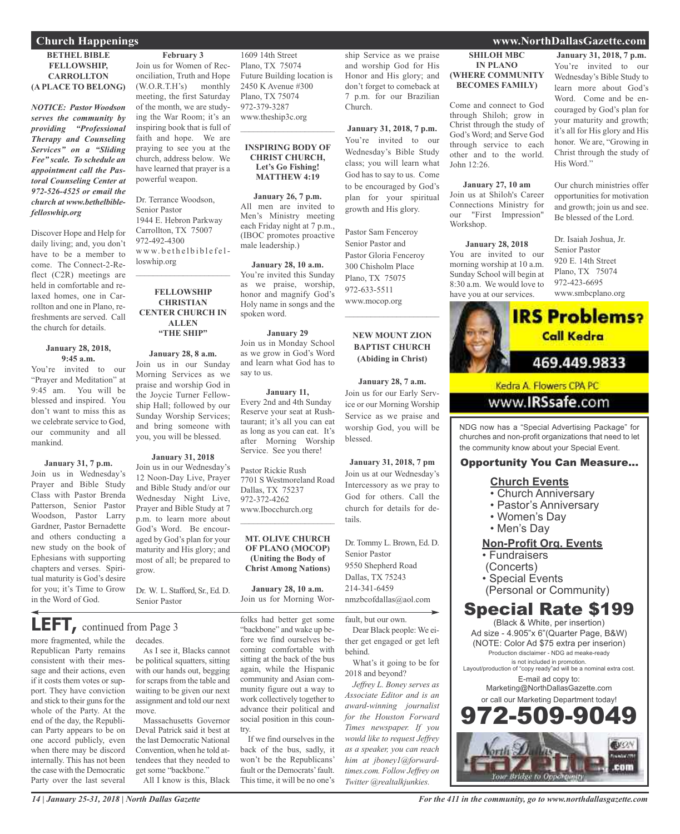#### **BETHEL BIBLE FELLOWSHIP, CARROLLTON (A PLACE TO BELONG)**

*NOTICE: Pastor Woodson serves the community by providing "Professional Therapy and Counseling Services" on a "Sliding Fee" scale. To schedule an appointment call the Pastoral Counseling Center at 972-526-4525 or email the church at www.bethelbiblefelloswhip.org*

Discover Hope and Help for daily living; and, you don't have to be a member to come. The Connect-2-Reflect (C2R) meetings are held in comfortable and relaxed homes, one in Carrollton and one in Plano, refreshments are served. Call the church for details.

#### **January 28, 2018, 9:45 a.m.**

You're invited to our "Prayer and Meditation" at 9:45 am. You will be blessed and inspired. You don't want to miss this as we celebrate service to God, our community and all mankind.

### **January 31, 7 p.m.**

Join us in Wednesday's Prayer and Bible Study Class with Pastor Brenda Patterson, Senior Pastor Woodson, Pastor Larry Gardner, Pastor Bernadette and others conducting a new study on the book of Ephesians with supporting chapters and verses. Spiritual maturity is God's desire for you; it's Time to Grow in the Word of God.

### **LEFT,** continued from Page <sup>3</sup>

more fragmented, while the Republican Party remains consistent with their message and their actions, even if it costs them votes or support. They have conviction and stick to their guns for the whole of the Party. At the end of the day, the Republican Party appears to be on one accord publicly, even when there may be discord internally. This has not been the case with the Democratic Party over the last several

### **February 3**

Join us for Women of Reconciliation, Truth and Hope (W.O.R.T.H's) monthly meeting, the first Saturday of the month, we are studying the War Room; it's an inspiring book that is full of faith and hope. We are praying to see you at the church, address below. We have learned that prayer is a powerful weapon.

Dr. Terrance Woodson, Senior Pastor 1944 E. Hebron Parkway Carrollton, TX 75007 972-492-4300 loswhip.org

### **FELLOWSHIP CHRISTIAN CENTER CHURCH IN ALLEN "THE SHIP"**

**January 28, 8 a.m.** Join us in our Sunday Morning Services as we praise and worship God in the Joycie Turner Fellowship Hall; followed by our Sunday Worship Services; and bring someone with you, you will be blessed.

### **January 31, 2018**

Join us in our Wednesday's 12 Noon-Day Live, Prayer and Bible Study and/or our Wednesday Night Live, Prayer and Bible Study at 7 p.m. to learn more about God's Word. Be encouraged by God's plan for your maturity and His glory; and most of all; be prepared to grow.

Dr. W. L. Stafford, Sr., Ed. D. Senior Pastor

### decades.

As I see it, Blacks cannot be political squatters, sitting with our hands out, begging for scraps from the table and waiting to be given our next assignment and told our next move.

Massachusetts Governor Deval Patrick said it best at the last Democratic National Convention, when he told attendees that they needed to get some "backbone."

All I know is this, Black

1609 14th Street Plano, TX 75074 Future Building location is 2450 K Avenue #300 Plano, TX 75074 972-379-3287 www.theship3c.org

#### **INSPIRING BODY OF CHRIST CHURCH, Let's Go Fishing! MATTHEW 4:19**

 $\overline{\phantom{a}}$  , which is a set of the set of the set of the set of the set of the set of the set of the set of the set of the set of the set of the set of the set of the set of the set of the set of the set of the set of th

**January 26, 7 p.m.** All men are invited to Men's Ministry meeting each Friday night at 7 p.m., (IBOC promotes proactive male leadership.)

**January 28, 10 a.m.** You're invited this Sunday as we praise, worship, honor and magnify God's Holy name in songs and the spoken word.

**January 29** Join us in Monday School as we grow in God's Word and learn what God has to say to us.

**January 11,** Every 2nd and 4th Sunday Reserve your seat at Rushtaurant; it's all you can eat as long as you can eat. It's after Morning Worship Service. See you there!

Pastor Rickie Rush 7701 S Westmoreland Road Dallas, TX 75237 972-372-4262 www.Ibocchurch.org  $\overline{\phantom{a}}$  , which is a set of the set of the set of the set of the set of the set of the set of the set of the set of the set of the set of the set of the set of the set of the set of the set of the set of the set of th

**MT. OLIVE CHURCH OF PLANO (MOCOP) (Uniting the Body of Christ Among Nations)**

**January 28, 10 a.m.** Join us for Morning Wor-

folks had better get some "backbone" and wake up before we find ourselves becoming comfortable with sitting at the back of the bus again, while the Hispanic community and Asian community figure out a way to work collectively together to advance their political and social position in this country.

If we find ourselves in the back of the bus, sadly, it won't be the Republicans' fault or the Democrats' fault. This time, it will be no one's ship Service as we praise and worship God for His Honor and His glory; and don't forget to comeback at 7 p.m. for our Brazilian Church.

**January 31, 2018, 7 p.m.** You're invited to our Wednesday's Bible Study class; you will learn what God has to say to us. Come to be encouraged by God's plan for your spiritual growth and His glory.

Pastor Sam Fenceroy Senior Pastor and Pastor Gloria Fenceroy 300 Chisholm Place Plano, TX 75075 972-633-5511 www.mocop.org  $\mathcal{L}=\mathcal{L}^{\mathcal{L}}$  , where  $\mathcal{L}^{\mathcal{L}}$  , we have the set of the set of the set of the set of the set of the set of the set of the set of the set of the set of the set of the set of the set of the set of the set of

### **NEW MOUNT ZION BAPTIST CHURCH (Abiding in Christ)**

**January 28, 7 a.m.** Join us for our Early Service or our Morning Worship Service as we praise and worship God, you will be blessed.

**January 31, 2018, 7 pm** Join us at our Wednesday's Intercessory as we pray to God for others. Call the church for details for details.

Dr. Tommy L. Brown, Ed. D. Senior Pastor 9550 Shepherd Road Dallas, TX 75243 214-341-6459 nmzbcofdallas@aol.com

### fault, but our own.

Dear Black people: We either get engaged or get left behind.

What's it going to be for 2018 and beyond?

*Jeffrey L. Boney serves as Associate Editor and is an award-winning journalist for the Houston Forward Times newspaper. If you would like to request Jeffrey as a speaker, you can reach him at jboney1@forwardtimes.com. Follow Jeffrey on Twitter @realtalkjunkies.*

### **Church Happenings www.NorthDallasGazette.com**

**SHILOH MBC IN PLANO (WHERE COMMUNITY BECOMES FAMILY)** Come and connect to God through Shiloh; grow in Christ through the study of **January 31, 2018, 7 p.m.** You're invited to our Wednesday's Bible Study to learn more about God's Word. Come and be encouraged by God's plan for

God's Word; and Serve God through service to each other and to the world.

**January 27, 10 am** Join us at Shiloh's Career Connections Ministry for our "First Impression"

**January 28, 2018** You are invited to our morning worship at 10 a.m. Sunday School will begin at 8:30 a.m. We would love to have you at our services.

John 12:26.

Workshop.

your maturity and growth; it's all for His glory and His honor. We are, "Growing in Christ through the study of His Word."

Our church ministries offer opportunities for motivation and growth; join us and see. Be blessed of the Lord.

Dr. Isaiah Joshua, Jr. Senior Pastor 920 E. 14th Street Plano, TX 75074 972-423-6695 www.smbcplano.org

![](_page_13_Picture_50.jpeg)

```
www.IRSsafe.com
```
NDG now has a "Special Advertising Package" for churches and non-profit organizations that need to let the community know about your Special Event.

### Opportunity You Can Measure...

### **Church Events**

- Church Anniversary
- Pastor's Anniversary
- Women's Day
- Men's Day

### **Non-Profit Org. Events**

• Fundraisers

(Concerts)

• Special Events

(Personal or Community)

### Special Rate \$199

(Black & White, per insertion) Ad size - 4.905"x 6"(Quarter Page, B&W) (NOTE: Color Ad \$75 extra per inserion) Production disclaimer - NDG ad meake-ready is not included in promotion. Layout/production of "copy ready"ad will be a nominal extra cost. E-mail ad copy to: Marketing@NorthDallasGazette.com

![](_page_13_Picture_66.jpeg)

*For the 411 in the community, go to www.northdallasgazette.com*

www.bethelbiblefel-

 $\mathcal{L}_\text{max}$  , which is a set of the set of the set of the set of the set of the set of the set of the set of the set of the set of the set of the set of the set of the set of the set of the set of the set of the set of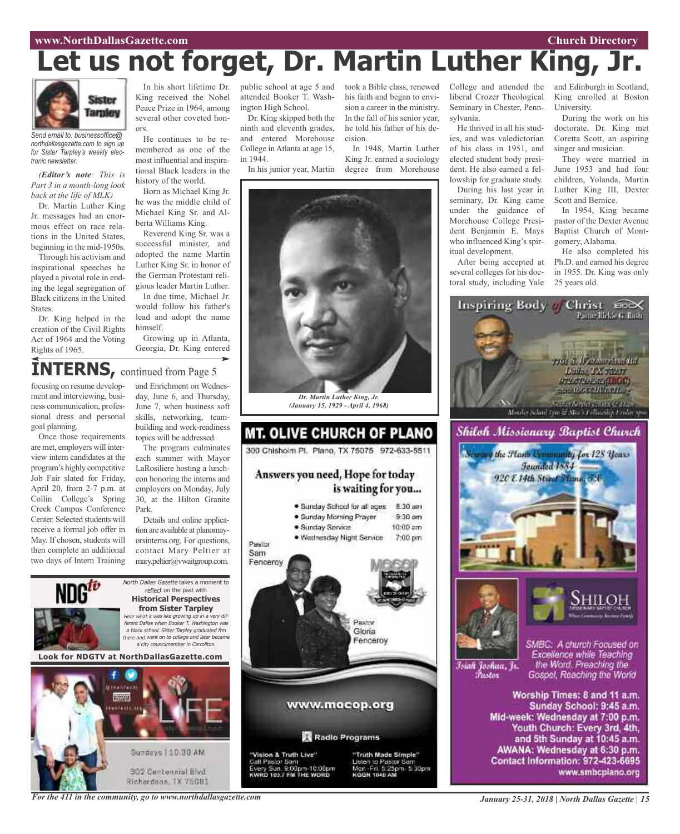# **Let us not forget, Dr. Martin Luther King, Jr.**

![](_page_14_Picture_3.jpeg)

*Send email to: businessoffice@ northdallasgazette.com to sign up for Sister Tarpley's weekly electronic newsletter.*

*(Editor's note: This is Part 3 in a month-long look back at the life of MLK)*

Dr. Martin Luther King Jr. messages had an enormous effect on race relations in the United States, beginning in the mid-1950s.

Through his activism and inspirational speeches he played a pivotal role in ending the legal segregation of Black citizens in the United States.

Dr. King helped in the creation of the Civil Rights Act of 1964 and the Voting Rights of 1965.

In his short lifetime Dr. King received the Nobel Peace Prize in 1964, among several other coveted honors.

He continues to be remembered as one of the most influential and inspirational Black leaders in the history of the world.

Born as Michael King Jr. he was the middle child of Michael King Sr. and Alberta Williams King.

Reverend King Sr. was a successful minister, and adopted the name Martin Luther King Sr. in honor of the German Protestant religious leader Martin Luther.

In due time, Michael Jr. would follow his father's lead and adopt the name himself.

Growing up in Atlanta, Georgia, Dr. King entered attended Booker T. Washington High School.

Dr. King skipped both the ninth and eleventh grades, and entered Morehouse College in Atlanta at age 15, in 1944.

In his junior year, Martin

public school at age 5 and took a Bible class, renewed his faith and began to envision a career in the ministry. In the fall of his senior year, he told his father of his decision.

> In 1948, Martin Luther King Jr. earned a sociology degree from Morehouse

![](_page_14_Picture_20.jpeg)

*Dr. Martin Luther King, Jr. (January 15, 1929 - April 4, 1968)*

![](_page_14_Picture_22.jpeg)

"Vision & Truth Live"<br>Call Pastor Sam<br>Every Sun, 9:00pm-10:00pm<br>KWRD 103.7 FM THE WORD

![](_page_14_Picture_24.jpeg)

College and attended the liberal Crozer Theological Seminary in Chester, Penn-

He thrived in all his studies, and was valedictorian of his class in 1951, and elected student body president. He also earned a fellowship for graduate study.

During his last year in seminary, Dr. King came under the guidance of Morehouse College President Benjamin E. Mays who influenced King's spiritual development.

After being accepted at several colleges for his doctoral study, including Yale and Edinburgh in Scotland, King enrolled at Boston University.

During the work on his doctorate, Dr. King met Coretta Scott, an aspiring singer and musician.

They were married in June 1953 and had four children, Yolanda, Martin Luther King III, Dexter Scott and Bernice.

In 1954, King became pastor of the Dexter Avenue Baptist Church of Montgomery, Alabama.

He also completed his Ph.D. and earned his degree in 1955. Dr. King was only 25 years old.

![](_page_14_Picture_35.jpeg)

![](_page_14_Picture_36.jpeg)

Īsiah Joshua, Jr.

Fustor

SMBC: A church Focused on Excellence while Teaching the Word. Preaching the Gospel, Reaching the World

Worship Times: 8 and 11 a.m. Sunday School: 9:45 a.m. Mid-week: Wednesday at 7:00 p.m. Youth Church: Every 3rd, 4th, and 5th Sunday at 10:45 a.m. AWANA: Wednesday at 6:30 p.m. Contact Information: 972-423-6695 www.smbcplano.org

**INTERNS,** continued from Page <sup>5</sup> focusing on resume development and interviewing, business communication, professional dress and personal goal planning.

Once those requirements are met, employers will interview intern candidates at the program's highly competitive Job Fair slated for Friday, April 20, from 2-7 p.m. at Collin College's Spring Creek Campus Conference Center. Selected students will receive a formal job offer in May. If chosen, students will then complete an additional two days of Intern Training

and Enrichment on Wednesday, June 6, and Thursday, June 7, when business soft skills, networking, teambuilding and work-readiness topics will be addressed.

The program culminates each summer with Mayor LaRosiliere hosting a luncheon honoring the interns and employers on Monday, July 30, at the Hilton Granite Park.

Details and online application are available at planomayorsinterns.org. For questions, contact Mary Peltier at mary.peltier@vwaitgroup.com.

![](_page_14_Picture_44.jpeg)

302 Centennial Blvd Richardson, TX 75081

Jelen to Pastor Sar Mar. Fri. 5:25pm. 5:30pm